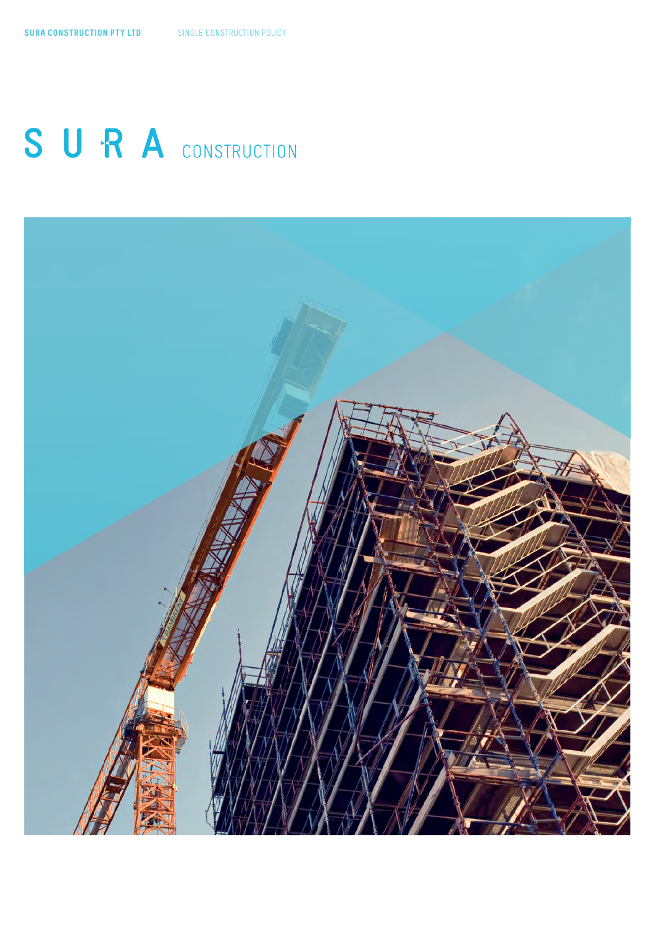# SURA CONSTRUCTION

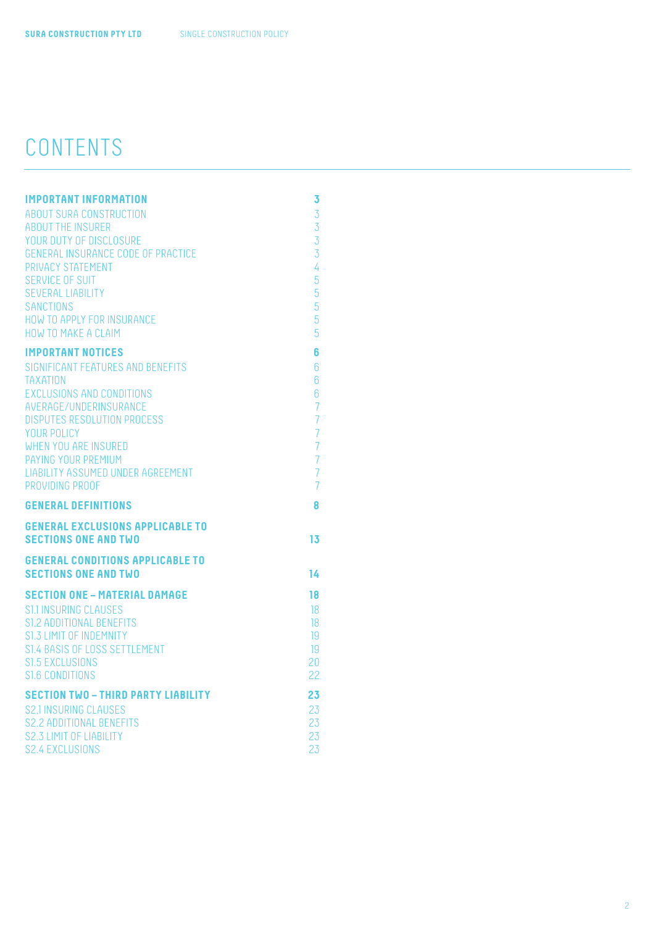# CONTENTS

| <b>IMPORTANT INFORMATION</b>                                    | 3                                |
|-----------------------------------------------------------------|----------------------------------|
| ABOUT SURA CONSTRUCTION                                         | $\overline{3}$                   |
| <b>ABOUT THE INSURER</b>                                        | $\overline{3}$                   |
| YOUR DUTY OF DISCLOSURE                                         | $\overline{3}$                   |
| <b>GENERAL INSURANCE CODE OF PRACTICE</b>                       | $\overline{3}$                   |
| PRIVACY STATEMENT                                               | $\overline{4}$                   |
| SERVICE OF SUIT                                                 | 5                                |
| <b>SEVERAL LIABILITY</b>                                        | 5                                |
| <b>SANCTIONS</b>                                                | 5                                |
| HOW TO APPLY FOR INSURANCE                                      | 5                                |
| HOW TO MAKE A CLAIM                                             | 5                                |
| <b>IMPORTANT NOTICES</b>                                        | 6                                |
| SIGNIFICANT FEATURES AND BENEFITS                               | $6\phantom{1}6$                  |
| <b>TAXATION</b>                                                 | $6\overline{6}$                  |
| <b>EXCLUSIONS AND CONDITIONS</b>                                | $6\phantom{a}$                   |
| AVERAGE/UNDERINSURANCE                                          | $\overline{7}$                   |
| <b>DISPUTES RESOLUTION PROCESS</b>                              | $\overline{7}$                   |
| YOUR POLICY                                                     | $\overline{7}$                   |
| <b>WHEN YOU ARE INSURED</b>                                     | $\overline{7}$                   |
| PAYING YOUR PREMIUM<br><b>LIABILITY ASSUMED UNDER AGREEMENT</b> | $\overline{7}$<br>$\overline{7}$ |
| PROVIDING PROOF                                                 | $\overline{7}$                   |
|                                                                 |                                  |
| <b>GENERAL DEFINITIONS</b>                                      | 8                                |
| <b>GENERAL EXCLUSIONS APPLICABLE TO</b>                         |                                  |
| <b>SECTIONS ONE AND TWO</b>                                     | 13                               |
| <b>GENERAL CONDITIONS APPLICABLE TO</b>                         |                                  |
| <b>SECTIONS ONE AND TWO</b>                                     | 14                               |
| <b>SECTION ONE - MATERIAL DAMAGE</b>                            | 18                               |
| <b>S1.1 INSURING CLAUSES</b>                                    | 18                               |
| S1.2 ADDITIONAL BENEFITS                                        | 18                               |
| S1.3 LIMIT OF INDEMNITY                                         | 19                               |
| S1.4 BASIS OF LOSS SETTLEMENT                                   | 19                               |
| <b>S1.5 EXCLUSIONS</b>                                          | 20                               |
| SI.6 CONDITIONS                                                 | 22                               |
| <b>SECTION TWO - THIRD PARTY LIABILITY</b>                      | 23                               |
| <b>S2.1 INSURING CLAUSES</b>                                    | 23                               |
| <b>S2.2 ADDITIONAL BENEFITS</b>                                 | 23                               |
| S2.3 LIMIT OF LIABILITY                                         | 23                               |
| S2.4 EXCLUSIONS                                                 | 23                               |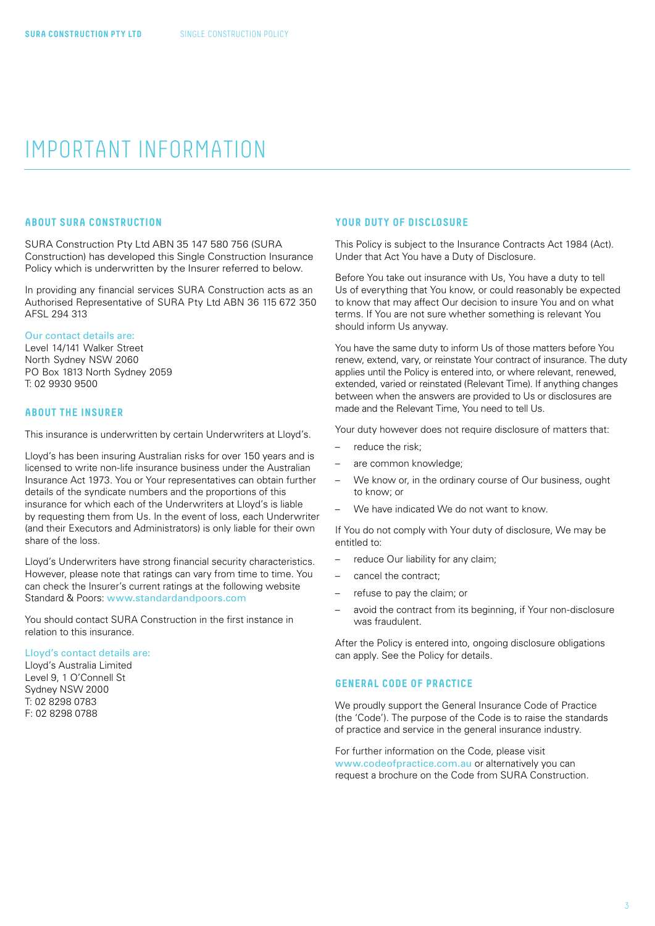## <span id="page-2-0"></span>IMPORTANT INFORMATION

#### **ABOUT SURA CONSTRUCTION**

SURA Construction Pty Ltd ABN 35 147 580 756 (SURA Construction) has developed this Single Construction Insurance Policy which is underwritten by the Insurer referred to below.

In providing any financial services SURA Construction acts as an Authorised Representative of SURA Pty Ltd ABN 36 115 672 350 AFSL 294 313

#### Our contact details are:

Level 14/141 Walker Street North Sydney NSW 2060 PO Box 1813 North Sydney 2059 T: 02 9930 9500

#### **ABOUT THE INSURER**

This insurance is underwritten by certain Underwriters at Lloyd's.

Lloyd's has been insuring Australian risks for over 150 years and is licensed to write non-life insurance business under the Australian Insurance Act 1973. You or Your representatives can obtain further details of the syndicate numbers and the proportions of this insurance for which each of the Underwriters at Lloyd's is liable by requesting them from Us. In the event of loss, each Underwriter (and their Executors and Administrators) is only liable for their own share of the loss.

Lloyd's Underwriters have strong financial security characteristics. However, please note that ratings can vary from time to time. You can check the Insurer's current ratings at the following website Standard & Poors: [www.standardandpoors.com](http://www.standardandpoors.com)

You should contact SURA Construction in the first instance in relation to this insurance.

#### Lloyd's contact details are:

Lloyd's Australia Limited Level 9, 1 O'Connell St Sydney NSW 2000 T: 02 8298 0783 F: 02 8298 0788

#### **YOUR DUTY OF DISCLOSURE**

This Policy is subject to the Insurance Contracts Act 1984 (Act). Under that Act You have a Duty of Disclosure.

Before You take out insurance with Us, You have a duty to tell Us of everything that You know, or could reasonably be expected to know that may affect Our decision to insure You and on what terms. If You are not sure whether something is relevant You should inform Us anyway.

You have the same duty to inform Us of those matters before You renew, extend, vary, or reinstate Your contract of insurance. The duty applies until the Policy is entered into, or where relevant, renewed, extended, varied or reinstated (Relevant Time). If anything changes between when the answers are provided to Us or disclosures are made and the Relevant Time, You need to tell Us.

Your duty however does not require disclosure of matters that:

- reduce the risk;
- are common knowledge;
- We know or, in the ordinary course of Our business, ought to know; or
- We have indicated We do not want to know.

If You do not comply with Your duty of disclosure, We may be entitled to:

- reduce Our liability for any claim;
- cancel the contract;
- refuse to pay the claim; or
- avoid the contract from its beginning, if Your non-disclosure was fraudulent.

After the Policy is entered into, ongoing disclosure obligations can apply. See the Policy for details.

#### **GENERAL CODE OF PRACTICE**

We proudly support the General Insurance Code of Practice (the 'Code'). The purpose of the Code is to raise the standards of practice and service in the general insurance industry.

For further information on the Code, please visit [www.codeofpractice.com.au](http://www.codeofpractice.com.au) or alternatively you can request a brochure on the Code from SURA Construction.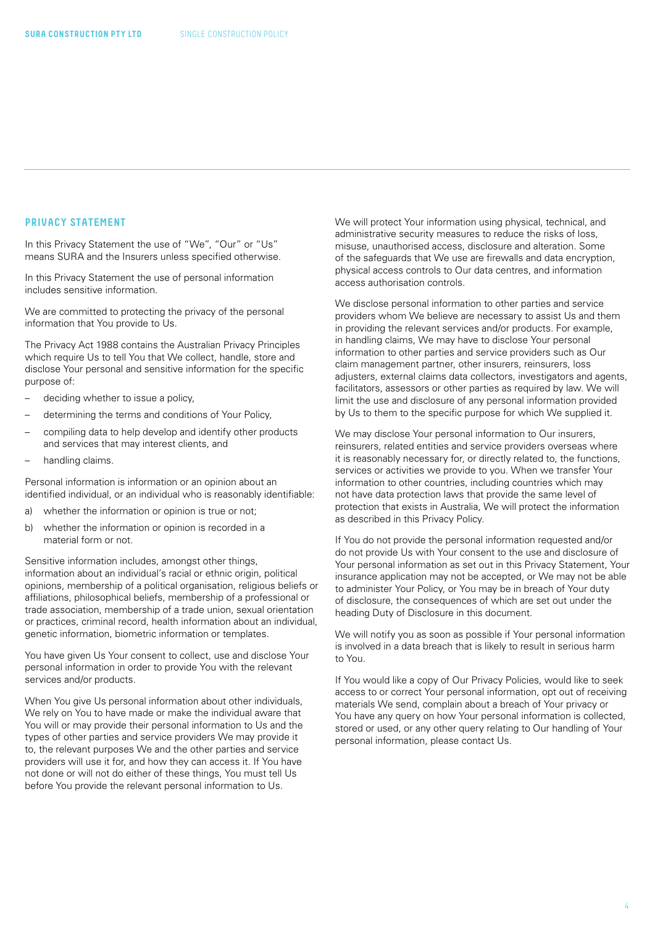#### <span id="page-3-0"></span>**PRIVACY STATEMENT**

In this Privacy Statement the use of "We", "Our" or "Us" means SURA and the Insurers unless specified otherwise.

In this Privacy Statement the use of personal information includes sensitive information.

We are committed to protecting the privacy of the personal information that You provide to Us.

The Privacy Act 1988 contains the Australian Privacy Principles which require Us to tell You that We collect, handle, store and disclose Your personal and sensitive information for the specific purpose of:

- deciding whether to issue a policy,
- determining the terms and conditions of Your Policy,
- compiling data to help develop and identify other products and services that may interest clients, and
- handling claims.

Personal information is information or an opinion about an identified individual, or an individual who is reasonably identifiable:

- a) whether the information or opinion is true or not;
- b) whether the information or opinion is recorded in a material form or not.

Sensitive information includes, amongst other things, information about an individual's racial or ethnic origin, political opinions, membership of a political organisation, religious beliefs or affiliations, philosophical beliefs, membership of a professional or trade association, membership of a trade union, sexual orientation or practices, criminal record, health information about an individual, genetic information, biometric information or templates.

You have given Us Your consent to collect, use and disclose Your personal information in order to provide You with the relevant services and/or products.

When You give Us personal information about other individuals, We rely on You to have made or make the individual aware that You will or may provide their personal information to Us and the types of other parties and service providers We may provide it to, the relevant purposes We and the other parties and service providers will use it for, and how they can access it. If You have not done or will not do either of these things, You must tell Us before You provide the relevant personal information to Us.

We will protect Your information using physical, technical, and administrative security measures to reduce the risks of loss, misuse, unauthorised access, disclosure and alteration. Some of the safeguards that We use are firewalls and data encryption, physical access controls to Our data centres, and information access authorisation controls.

We disclose personal information to other parties and service providers whom We believe are necessary to assist Us and them in providing the relevant services and/or products. For example, in handling claims, We may have to disclose Your personal information to other parties and service providers such as Our claim management partner, other insurers, reinsurers, loss adjusters, external claims data collectors, investigators and agents, facilitators, assessors or other parties as required by law. We will limit the use and disclosure of any personal information provided by Us to them to the specific purpose for which We supplied it.

We may disclose Your personal information to Our insurers, reinsurers, related entities and service providers overseas where it is reasonably necessary for, or directly related to, the functions, services or activities we provide to you. When we transfer Your information to other countries, including countries which may not have data protection laws that provide the same level of protection that exists in Australia, We will protect the information as described in this Privacy Policy.

If You do not provide the personal information requested and/or do not provide Us with Your consent to the use and disclosure of Your personal information as set out in this Privacy Statement, Your insurance application may not be accepted, or We may not be able to administer Your Policy, or You may be in breach of Your duty of disclosure, the consequences of which are set out under the heading Duty of Disclosure in this document.

We will notify you as soon as possible if Your personal information is involved in a data breach that is likely to result in serious harm to You.

If You would like a copy of Our Privacy Policies, would like to seek access to or correct Your personal information, opt out of receiving materials We send, complain about a breach of Your privacy or You have any query on how Your personal information is collected, stored or used, or any other query relating to Our handling of Your personal information, please contact Us.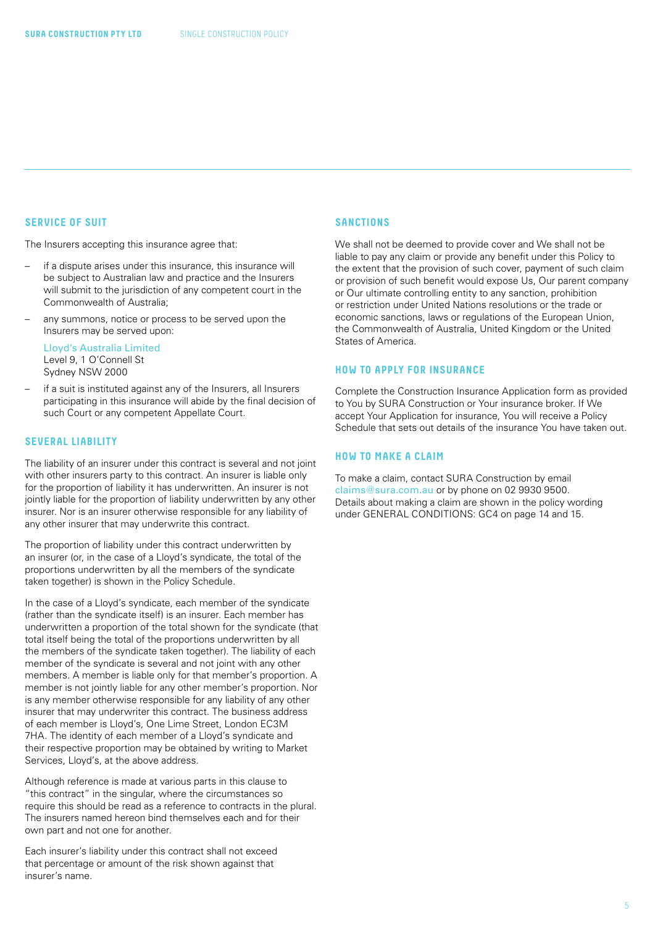#### <span id="page-4-0"></span>**SERVICE OF SUIT**

The Insurers accepting this insurance agree that:

- if a dispute arises under this insurance, this insurance will be subject to Australian law and practice and the Insurers will submit to the jurisdiction of any competent court in the Commonwealth of Australia;
- any summons, notice or process to be served upon the Insurers may be served upon:

Lloyd's Australia Limited Level 9, 1 O'Connell St Sydney NSW 2000

– if a suit is instituted against any of the Insurers, all Insurers participating in this insurance will abide by the final decision of such Court or any competent Appellate Court.

#### **SEVERAL LIABILITY**

The liability of an insurer under this contract is several and not joint with other insurers party to this contract. An insurer is liable only for the proportion of liability it has underwritten. An insurer is not jointly liable for the proportion of liability underwritten by any other insurer. Nor is an insurer otherwise responsible for any liability of any other insurer that may underwrite this contract.

The proportion of liability under this contract underwritten by an insurer (or, in the case of a Lloyd's syndicate, the total of the proportions underwritten by all the members of the syndicate taken together) is shown in the Policy Schedule.

In the case of a Lloyd's syndicate, each member of the syndicate (rather than the syndicate itself) is an insurer. Each member has underwritten a proportion of the total shown for the syndicate (that total itself being the total of the proportions underwritten by all the members of the syndicate taken together). The liability of each member of the syndicate is several and not joint with any other members. A member is liable only for that member's proportion. A member is not jointly liable for any other member's proportion. Nor is any member otherwise responsible for any liability of any other insurer that may underwriter this contract. The business address of each member is Lloyd's, One Lime Street, London EC3M 7HA. The identity of each member of a Lloyd's syndicate and their respective proportion may be obtained by writing to Market Services, Lloyd's, at the above address.

Although reference is made at various parts in this clause to "this contract" in the singular, where the circumstances so require this should be read as a reference to contracts in the plural. The insurers named hereon bind themselves each and for their own part and not one for another.

Each insurer's liability under this contract shall not exceed that percentage or amount of the risk shown against that insurer's name.

#### **SANCTIONS**

We shall not be deemed to provide cover and We shall not be liable to pay any claim or provide any benefit under this Policy to the extent that the provision of such cover, payment of such claim or provision of such benefit would expose Us, Our parent company or Our ultimate controlling entity to any sanction, prohibition or restriction under United Nations resolutions or the trade or economic sanctions, laws or regulations of the European Union, the Commonwealth of Australia, United Kingdom or the United States of America.

#### **HOW TO APPLY FOR INSURANCE**

Complete the Construction Insurance Application form as provided to You by SURA Construction or Your insurance broker. If We accept Your Application for insurance, You will receive a Policy Schedule that sets out details of the insurance You have taken out.

#### **HOW TO MAKE A CLAIM**

To make a claim, contact SURA Construction by email [claims@sura.com.au](mailto:claims%40sura.com.au?subject=) or by phone on 02 9930 9500. Details about making a claim are shown in the policy wording under GENERAL CONDITIONS: GC4 on page 14 and 15.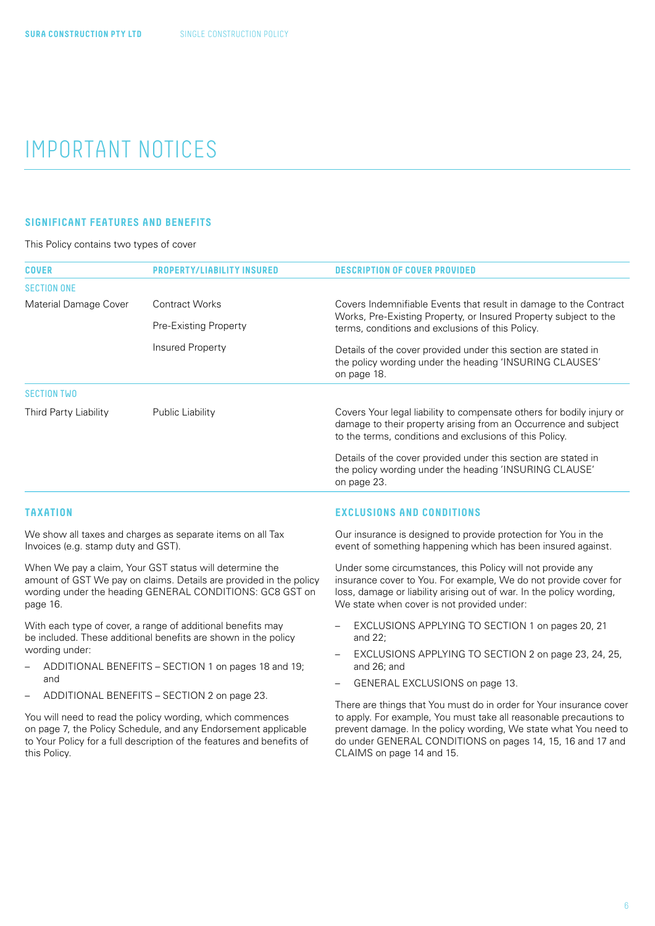## <span id="page-5-0"></span>IMPORTANT NOTICES

#### **SIGNIFICANT FEATURES AND BENEFITS**

#### This Policy contains two types of cover

| <b>COVER</b>          |                       | <b>DESCRIPTION OF COVER PROVIDED</b>                                                                                                                                                                |
|-----------------------|-----------------------|-----------------------------------------------------------------------------------------------------------------------------------------------------------------------------------------------------|
| <b>SECTION ONE</b>    |                       |                                                                                                                                                                                                     |
| Material Damage Cover | <b>Contract Works</b> | Covers Indemnifiable Events that result in damage to the Contract<br>Works, Pre-Existing Property, or Insured Property subject to the<br>terms, conditions and exclusions of this Policy.           |
|                       | Pre-Existing Property |                                                                                                                                                                                                     |
|                       | Insured Property      | Details of the cover provided under this section are stated in<br>the policy wording under the heading 'INSURING CLAUSES'<br>on page 18.                                                            |
| <b>SECTION TWO</b>    |                       |                                                                                                                                                                                                     |
| Third Party Liability | Public Liability      | Covers Your legal liability to compensate others for bodily injury or<br>damage to their property arising from an Occurrence and subject<br>to the terms, conditions and exclusions of this Policy. |
|                       |                       | Details of the cover provided under this section are stated in<br>the policy wording under the heading 'INSURING CLAUSE'<br>on page 23.                                                             |

#### **TAXATION**

We show all taxes and charges as separate items on all Tax Invoices (e.g. stamp duty and GST).

When We pay a claim, Your GST status will determine the amount of GST We pay on claims. Details are provided in the policy wording under the heading GENERAL CONDITIONS: GC8 GST on page 16.

With each type of cover, a range of additional benefits may be included. These additional benefits are shown in the policy wording under:

- ADDITIONAL BENEFITS SECTION 1 on pages 18 and 19; and
- ADDITIONAL BENEFITS SECTION 2 on page 23.

You will need to read the policy wording, which commences on page 7, the Policy Schedule, and any Endorsement applicable to Your Policy for a full description of the features and benefits of this Policy.

#### **EXCLUSIONS AND CONDITIONS**

Our insurance is designed to provide protection for You in the event of something happening which has been insured against.

Under some circumstances, this Policy will not provide any insurance cover to You. For example, We do not provide cover for loss, damage or liability arising out of war. In the policy wording, We state when cover is not provided under:

- EXCLUSIONS APPLYING TO SECTION 1 on pages 20, 21 and 22;
- EXCLUSIONS APPLYING TO SECTION 2 on page 23, 24, 25, and 26; and
- GENERAL EXCLUSIONS on page 13.

There are things that You must do in order for Your insurance cover to apply. For example, You must take all reasonable precautions to prevent damage. In the policy wording, We state what You need to do under GENERAL CONDITIONS on pages 14, 15, 16 and 17 and CLAIMS on page 14 and 15.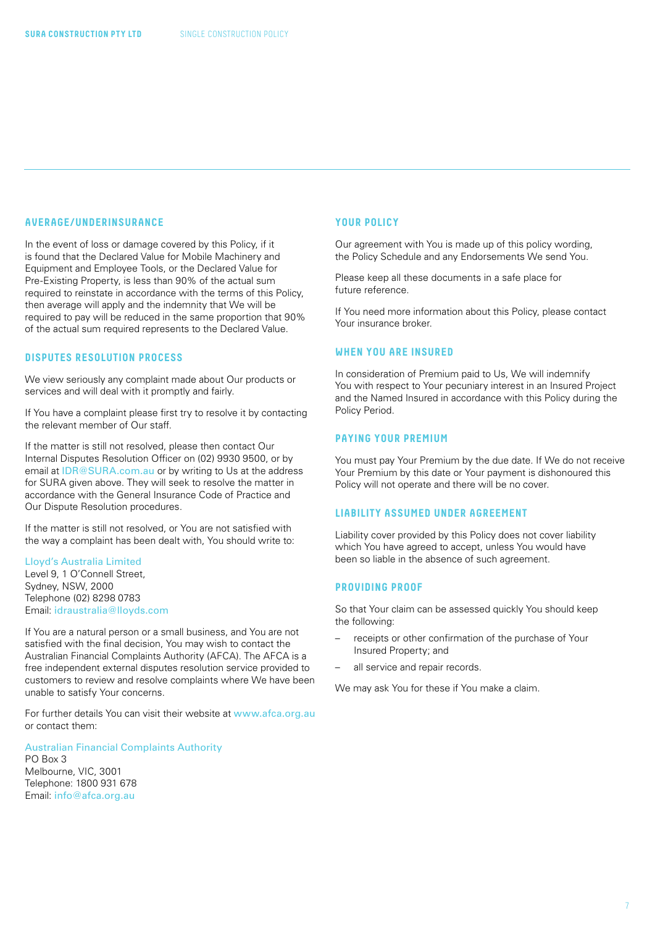#### <span id="page-6-0"></span>**AVERAGE/UNDERINSURANCE**

In the event of loss or damage covered by this Policy, if it is found that the Declared Value for Mobile Machinery and Equipment and Employee Tools, or the Declared Value for Pre-Existing Property, is less than 90% of the actual sum required to reinstate in accordance with the terms of this Policy, then average will apply and the indemnity that We will be required to pay will be reduced in the same proportion that 90% of the actual sum required represents to the Declared Value.

### **DISPUTES RESOLUTION PROCESS**

We view seriously any complaint made about Our products or services and will deal with it promptly and fairly.

If You have a complaint please first try to resolve it by contacting the relevant member of Our staff.

If the matter is still not resolved, please then contact Our Internal Disputes Resolution Officer on (02) 9930 9500, or by email at [IDR@SURA.com.au](mailto:IDR%40SURA.com.au?subject=) or by writing to Us at the address for SURA given above. They will seek to resolve the matter in accordance with the General Insurance Code of Practice and Our Dispute Resolution procedures.

If the matter is still not resolved, or You are not satisfied with the way a complaint has been dealt with, You should write to:

#### Lloyd's Australia Limited

Level 9, 1 O'Connell Street, Sydney, NSW, 2000 Telephone (02) 8298 0783 Email: [idraustralia@lloyds.com](mailto:idraustralia%40lloyds.com?subject=)

If You are a natural person or a small business, and You are not satisfied with the final decision, You may wish to contact the Australian Financial Complaints Authority (AFCA). The AFCA is a free independent external disputes resolution service provided to customers to review and resolve complaints where We have been unable to satisfy Your concerns.

For further details You can visit their website at [www.afca.org.au](http://www.afca.org.au) or contact them:

Australian Financial Complaints Authority

PO Box 3 Melbourne, VIC, 3001 Telephone: 1800 931 678 Email: [info@afca.org.au](mailto:info%40afca.org.au?subject=)

#### **YOUR POLICY**

Our agreement with You is made up of this policy wording, the Policy Schedule and any Endorsements We send You.

Please keep all these documents in a safe place for future reference.

If You need more information about this Policy, please contact Your insurance broker.

#### **WHEN YOU ARE INSURED**

In consideration of Premium paid to Us, We will indemnify You with respect to Your pecuniary interest in an Insured Project and the Named Insured in accordance with this Policy during the Policy Period.

#### **PAYING YOUR PREMIUM**

You must pay Your Premium by the due date. If We do not receive Your Premium by this date or Your payment is dishonoured this Policy will not operate and there will be no cover.

#### **LIABILITY ASSUMED UNDER AGREEMENT**

Liability cover provided by this Policy does not cover liability which You have agreed to accept, unless You would have been so liable in the absence of such agreement.

#### **PROVIDING PROOF**

So that Your claim can be assessed quickly You should keep the following:

- receipts or other confirmation of the purchase of Your Insured Property; and
- all service and repair records.

We may ask You for these if You make a claim.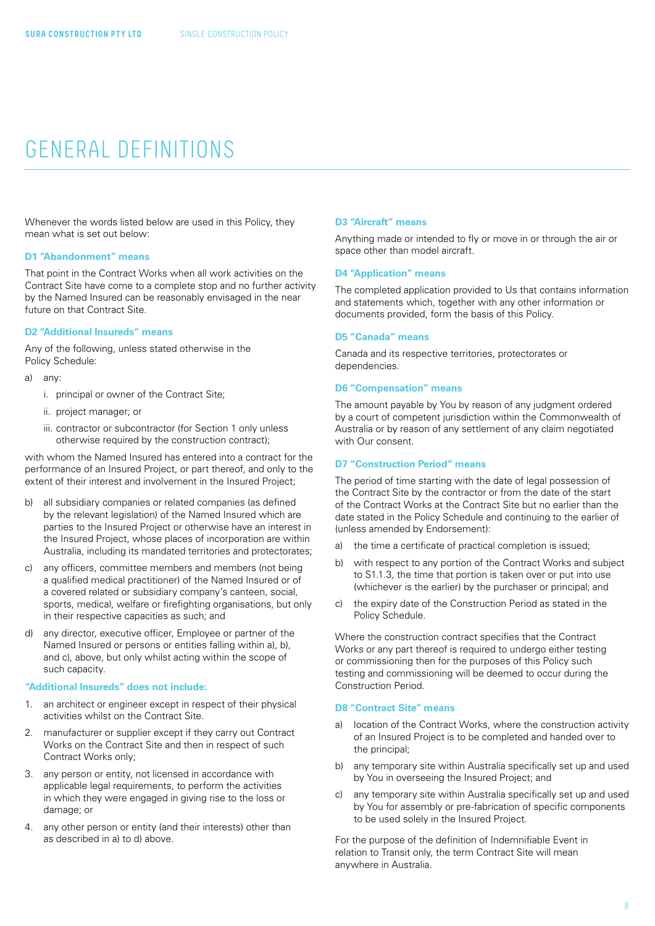### <span id="page-7-0"></span>GENERAL DEFINITIONS

Whenever the words listed below are used in this Policy, they mean what is set out below:

#### **D1 "Abandonment" means**

That point in the Contract Works when all work activities on the Contract Site have come to a complete stop and no further activity by the Named Insured can be reasonably envisaged in the near future on that Contract Site.

#### **D2 "Additional Insureds" means**

Any of the following, unless stated otherwise in the Policy Schedule:

- a) any:
	- i. principal or owner of the Contract Site;
	- ii. project manager; or
	- iii. contractor or subcontractor (for Section 1 only unless otherwise required by the construction contract);

with whom the Named Insured has entered into a contract for the performance of an Insured Project, or part thereof, and only to the extent of their interest and involvement in the Insured Project;

- all subsidiary companies or related companies (as defined by the relevant legislation) of the Named Insured which are parties to the Insured Project or otherwise have an interest in the Insured Project, whose places of incorporation are within Australia, including its mandated territories and protectorates;
- c) any officers, committee members and members (not being a qualified medical practitioner) of the Named Insured or of a covered related or subsidiary company's canteen, social, sports, medical, welfare or firefighting organisations, but only in their respective capacities as such; and
- d) any director, executive officer, Employee or partner of the Named Insured or persons or entities falling within a), b), and c), above, but only whilst acting within the scope of such capacity.

#### **"Additional Insureds" does not include:**

- 1. an architect or engineer except in respect of their physical activities whilst on the Contract Site.
- 2. manufacturer or supplier except if they carry out Contract Works on the Contract Site and then in respect of such Contract Works only;
- 3. any person or entity, not licensed in accordance with applicable legal requirements, to perform the activities in which they were engaged in giving rise to the loss or damage; or
- 4. any other person or entity (and their interests) other than as described in a) to d) above.

#### **D3 "Aircraft" means**

Anything made or intended to fly or move in or through the air or space other than model aircraft.

#### **D4 "Application" means**

The completed application provided to Us that contains information and statements which, together with any other information or documents provided, form the basis of this Policy.

#### **D5 "Canada" means**

Canada and its respective territories, protectorates or dependencies.

#### **D6 "Compensation" means**

The amount payable by You by reason of any judgment ordered by a court of competent jurisdiction within the Commonwealth of Australia or by reason of any settlement of any claim negotiated with Our consent.

#### **D7 "Construction Period" means**

The period of time starting with the date of legal possession of the Contract Site by the contractor or from the date of the start of the Contract Works at the Contract Site but no earlier than the date stated in the Policy Schedule and continuing to the earlier of (unless amended by Endorsement):

- a) the time a certificate of practical completion is issued;
- b) with respect to any portion of the Contract Works and subject to S1.1.3, the time that portion is taken over or put into use (whichever is the earlier) by the purchaser or principal; and
- c) the expiry date of the Construction Period as stated in the Policy Schedule.

Where the construction contract specifies that the Contract Works or any part thereof is required to undergo either testing or commissioning then for the purposes of this Policy such testing and commissioning will be deemed to occur during the Construction Period.

#### **D8 "Contract Site" means**

- a) location of the Contract Works, where the construction activity of an Insured Project is to be completed and handed over to the principal;
- b) any temporary site within Australia specifically set up and used by You in overseeing the Insured Project; and
- c) any temporary site within Australia specifically set up and used by You for assembly or pre-fabrication of specific components to be used solely in the Insured Project.

For the purpose of the definition of Indemnifiable Event in relation to Transit only, the term Contract Site will mean anywhere in Australia.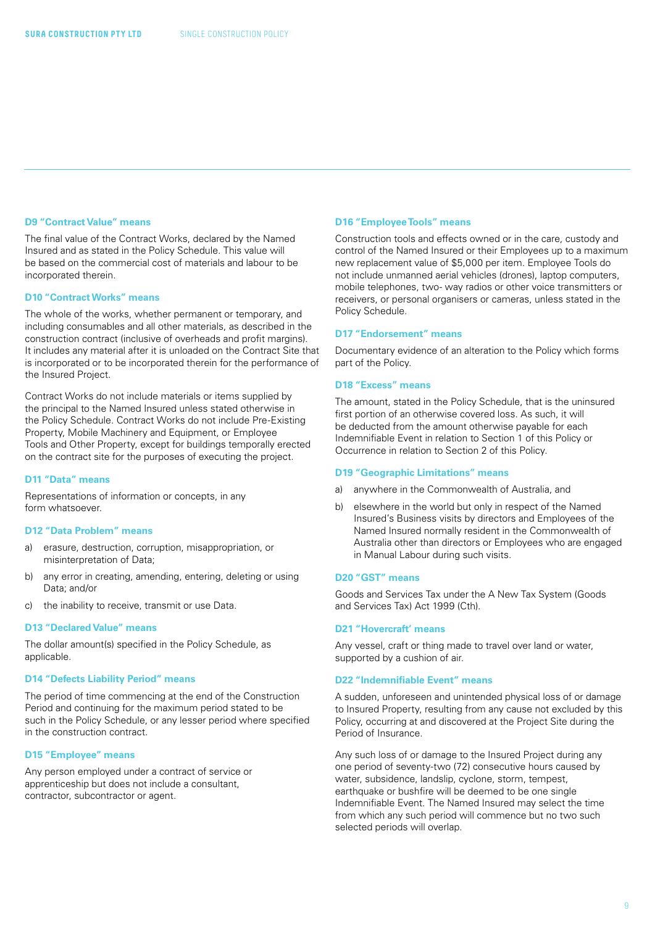#### **D9 "Contract Value" means**

The final value of the Contract Works, declared by the Named Insured and as stated in the Policy Schedule. This value will be based on the commercial cost of materials and labour to be incorporated therein.

#### **D10 "Contract Works" means**

The whole of the works, whether permanent or temporary, and including consumables and all other materials, as described in the construction contract (inclusive of overheads and profit margins). It includes any material after it is unloaded on the Contract Site that is incorporated or to be incorporated therein for the performance of the Insured Project.

Contract Works do not include materials or items supplied by the principal to the Named Insured unless stated otherwise in the Policy Schedule. Contract Works do not include Pre-Existing Property, Mobile Machinery and Equipment, or Employee Tools and Other Property, except for buildings temporally erected on the contract site for the purposes of executing the project.

#### **D11 "Data" means**

Representations of information or concepts, in any form whatsoever.

#### **D12 "Data Problem" means**

- a) erasure, destruction, corruption, misappropriation, or misinterpretation of Data;
- b) any error in creating, amending, entering, deleting or using Data; and/or
- c) the inability to receive, transmit or use Data.

#### **D13 "Declared Value" means**

The dollar amount(s) specified in the Policy Schedule, as applicable.

#### **D14 "Defects Liability Period" means**

The period of time commencing at the end of the Construction Period and continuing for the maximum period stated to be such in the Policy Schedule, or any lesser period where specified in the construction contract.

#### **D15 "Employee" means**

Any person employed under a contract of service or apprenticeship but does not include a consultant, contractor, subcontractor or agent.

#### **D16 "Employee Tools" means**

Construction tools and effects owned or in the care, custody and control of the Named Insured or their Employees up to a maximum new replacement value of \$5,000 per item. Employee Tools do not include unmanned aerial vehicles (drones), laptop computers, mobile telephones, two- way radios or other voice transmitters or receivers, or personal organisers or cameras, unless stated in the Policy Schedule.

#### **D17 "Endorsement" means**

Documentary evidence of an alteration to the Policy which forms part of the Policy.

#### **D18 "Excess" means**

The amount, stated in the Policy Schedule, that is the uninsured first portion of an otherwise covered loss. As such, it will be deducted from the amount otherwise payable for each Indemnifiable Event in relation to Section 1 of this Policy or Occurrence in relation to Section 2 of this Policy.

#### **D19 "Geographic Limitations" means**

- a) anywhere in the Commonwealth of Australia, and
- b) elsewhere in the world but only in respect of the Named Insured's Business visits by directors and Employees of the Named Insured normally resident in the Commonwealth of Australia other than directors or Employees who are engaged in Manual Labour during such visits.

#### **D20 "GST" means**

Goods and Services Tax under the A New Tax System (Goods and Services Tax) Act 1999 (Cth).

#### **D21 "Hovercraft' means**

Any vessel, craft or thing made to travel over land or water, supported by a cushion of air.

#### **D22 "Indemnifiable Event" means**

A sudden, unforeseen and unintended physical loss of or damage to Insured Property, resulting from any cause not excluded by this Policy, occurring at and discovered at the Project Site during the Period of Insurance.

Any such loss of or damage to the Insured Project during any one period of seventy-two (72) consecutive hours caused by water, subsidence, landslip, cyclone, storm, tempest, earthquake or bushfire will be deemed to be one single Indemnifiable Event. The Named Insured may select the time from which any such period will commence but no two such selected periods will overlap.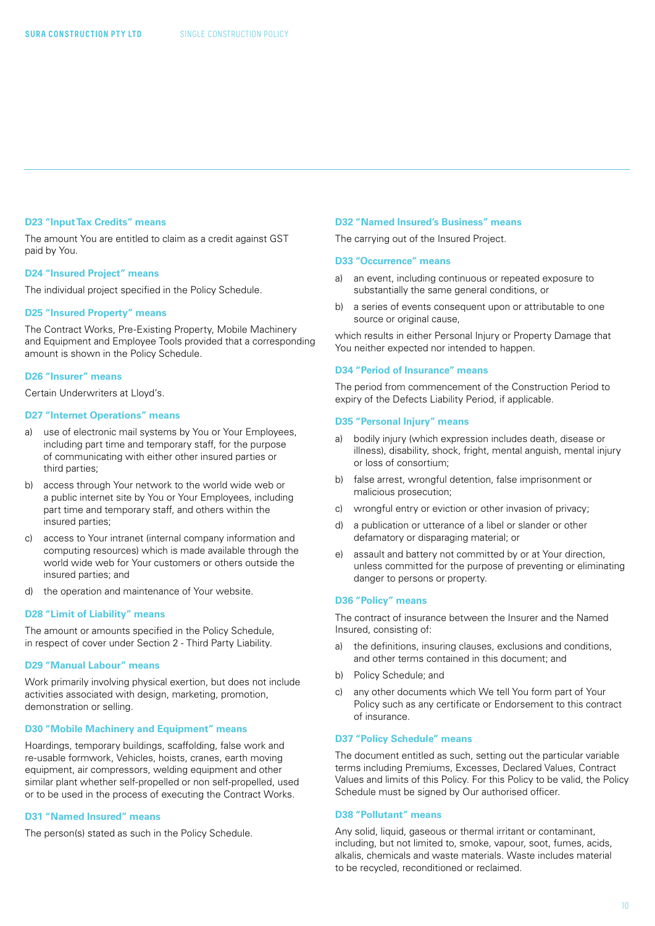#### **D23 "Input Tax Credits" means**

The amount You are entitled to claim as a credit against GST paid by You.

#### **D24 "Insured Project" means**

The individual project specified in the Policy Schedule.

#### **D25 "Insured Property" means**

The Contract Works, Pre-Existing Property, Mobile Machinery and Equipment and Employee Tools provided that a corresponding amount is shown in the Policy Schedule.

#### **D26 "Insurer" means**

Certain Underwriters at Lloyd's.

#### **D27 "Internet Operations" means**

- a) use of electronic mail systems by You or Your Employees, including part time and temporary staff, for the purpose of communicating with either other insured parties or third parties;
- b) access through Your network to the world wide web or a public internet site by You or Your Employees, including part time and temporary staff, and others within the insured parties;
- c) access to Your intranet (internal company information and computing resources) which is made available through the world wide web for Your customers or others outside the insured parties; and
- d) the operation and maintenance of Your website.

#### **D28 "Limit of Liability" means**

The amount or amounts specified in the Policy Schedule, in respect of cover under Section 2 - Third Party Liability.

#### **D29 "Manual Labour" means**

Work primarily involving physical exertion, but does not include activities associated with design, marketing, promotion, demonstration or selling.

#### **D30 "Mobile Machinery and Equipment" means**

Hoardings, temporary buildings, scaffolding, false work and re-usable formwork, Vehicles, hoists, cranes, earth moving equipment, air compressors, welding equipment and other similar plant whether self-propelled or non self-propelled, used or to be used in the process of executing the Contract Works.

#### **D31 "Named Insured" means**

The person(s) stated as such in the Policy Schedule.

#### **D32 "Named Insured's Business" means**

The carrying out of the Insured Project.

#### **D33 "Occurrence" means**

- a) an event, including continuous or repeated exposure to substantially the same general conditions, or
- b) a series of events consequent upon or attributable to one source or original cause,

which results in either Personal Injury or Property Damage that You neither expected nor intended to happen.

#### **D34 "Period of Insurance" means**

The period from commencement of the Construction Period to expiry of the Defects Liability Period, if applicable.

#### **D35 "Personal Injury" means**

- a) bodily injury (which expression includes death, disease or illness), disability, shock, fright, mental anguish, mental injury or loss of consortium;
- b) false arrest, wrongful detention, false imprisonment or malicious prosecution;
- c) wrongful entry or eviction or other invasion of privacy;
- d) a publication or utterance of a libel or slander or other defamatory or disparaging material; or
- e) assault and battery not committed by or at Your direction, unless committed for the purpose of preventing or eliminating danger to persons or property.

#### **D36 "Policy" means**

The contract of insurance between the Insurer and the Named Insured, consisting of:

- a) the definitions, insuring clauses, exclusions and conditions, and other terms contained in this document; and
- b) Policy Schedule; and
- c) any other documents which We tell You form part of Your Policy such as any certificate or Endorsement to this contract of insurance.

#### **D37 "Policy Schedule" means**

The document entitled as such, setting out the particular variable terms including Premiums, Excesses, Declared Values, Contract Values and limits of this Policy. For this Policy to be valid, the Policy Schedule must be signed by Our authorised officer.

#### **D38 "Pollutant" means**

Any solid, liquid, gaseous or thermal irritant or contaminant, including, but not limited to, smoke, vapour, soot, fumes, acids, alkalis, chemicals and waste materials. Waste includes material to be recycled, reconditioned or reclaimed.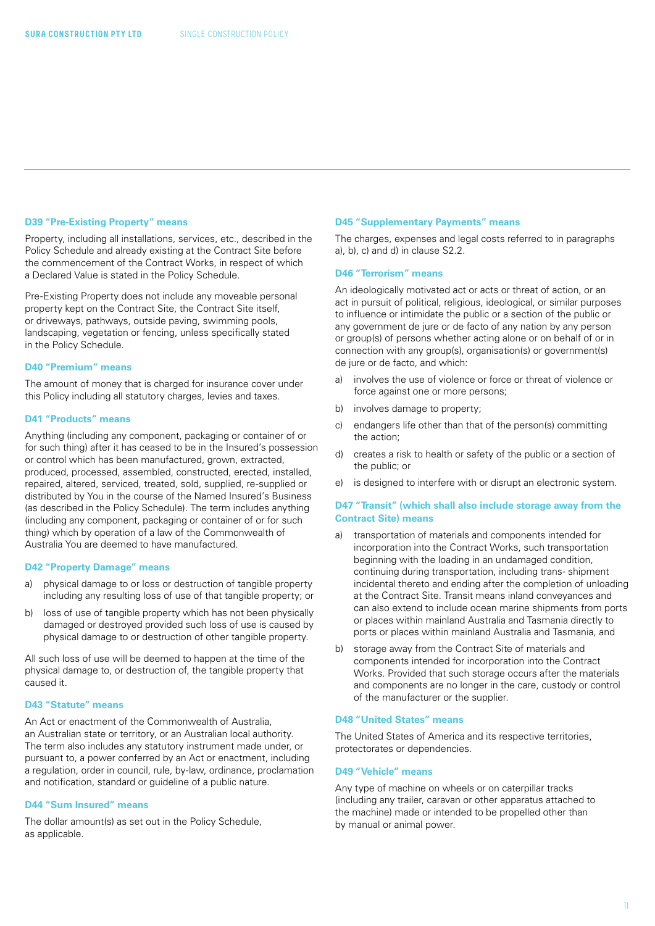#### **D39 "Pre-Existing Property" means**

Property, including all installations, services, etc., described in the Policy Schedule and already existing at the Contract Site before the commencement of the Contract Works, in respect of which a Declared Value is stated in the Policy Schedule.

Pre-Existing Property does not include any moveable personal property kept on the Contract Site, the Contract Site itself, or driveways, pathways, outside paving, swimming pools, landscaping, vegetation or fencing, unless specifically stated in the Policy Schedule.

#### **D40 "Premium" means**

The amount of money that is charged for insurance cover under this Policy including all statutory charges, levies and taxes.

#### **D41 "Products" means**

Anything (including any component, packaging or container of or for such thing) after it has ceased to be in the Insured's possession or control which has been manufactured, grown, extracted, produced, processed, assembled, constructed, erected, installed, repaired, altered, serviced, treated, sold, supplied, re-supplied or distributed by You in the course of the Named Insured's Business (as described in the Policy Schedule). The term includes anything (including any component, packaging or container of or for such thing) which by operation of a law of the Commonwealth of Australia You are deemed to have manufactured.

#### **D42 "Property Damage" means**

- a) physical damage to or loss or destruction of tangible property including any resulting loss of use of that tangible property; or
- b) loss of use of tangible property which has not been physically damaged or destroyed provided such loss of use is caused by physical damage to or destruction of other tangible property.

All such loss of use will be deemed to happen at the time of the physical damage to, or destruction of, the tangible property that caused it.

#### **D43 "Statute" means**

An Act or enactment of the Commonwealth of Australia, an Australian state or territory, or an Australian local authority. The term also includes any statutory instrument made under, or pursuant to, a power conferred by an Act or enactment, including a regulation, order in council, rule, by-law, ordinance, proclamation and notification, standard or guideline of a public nature.

#### **D44 "Sum Insured" means**

The dollar amount(s) as set out in the Policy Schedule, as applicable.

#### **D45 "Supplementary Payments" means**

The charges, expenses and legal costs referred to in paragraphs a), b), c) and d) in clause S2.2.

#### **D46 "Terrorism" means**

An ideologically motivated act or acts or threat of action, or an act in pursuit of political, religious, ideological, or similar purposes to influence or intimidate the public or a section of the public or any government de jure or de facto of any nation by any person or group(s) of persons whether acting alone or on behalf of or in connection with any group(s), organisation(s) or government(s) de jure or de facto, and which:

- a) involves the use of violence or force or threat of violence or force against one or more persons;
- b) involves damage to property:
- c) endangers life other than that of the person(s) committing the action;
- d) creates a risk to health or safety of the public or a section of the public; or
- e) is designed to interfere with or disrupt an electronic system.

#### **D47 "Transit" (which shall also include storage away from the Contract Site) means**

- a) transportation of materials and components intended for incorporation into the Contract Works, such transportation beginning with the loading in an undamaged condition, continuing during transportation, including trans- shipment incidental thereto and ending after the completion of unloading at the Contract Site. Transit means inland conveyances and can also extend to include ocean marine shipments from ports or places within mainland Australia and Tasmania directly to ports or places within mainland Australia and Tasmania, and
- b) storage away from the Contract Site of materials and components intended for incorporation into the Contract Works. Provided that such storage occurs after the materials and components are no longer in the care, custody or control of the manufacturer or the supplier.

#### **D48 "United States" means**

The United States of America and its respective territories, protectorates or dependencies.

#### **D49 "Vehicle" means**

Any type of machine on wheels or on caterpillar tracks (including any trailer, caravan or other apparatus attached to the machine) made or intended to be propelled other than by manual or animal power.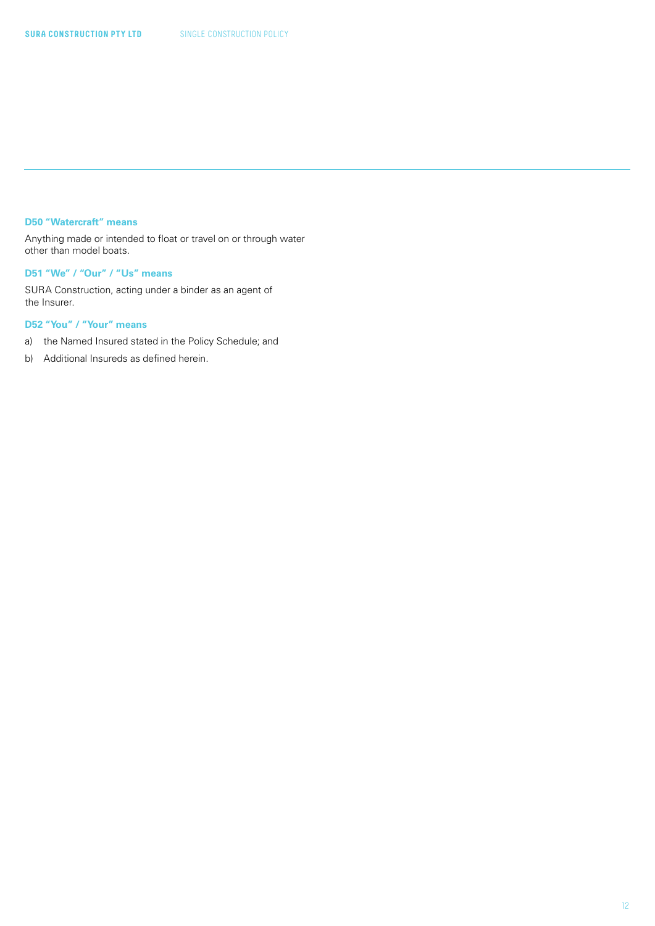#### **D50 "Watercraft" means**

Anything made or intended to float or travel on or through water other than model boats.

### **D51 "We" / "Our" / "Us" means**

SURA Construction, acting under a binder as an agent of the Insurer.

#### **D52 "You" / "Your" means**

- a) the Named Insured stated in the Policy Schedule; and
- b) Additional Insureds as defined herein.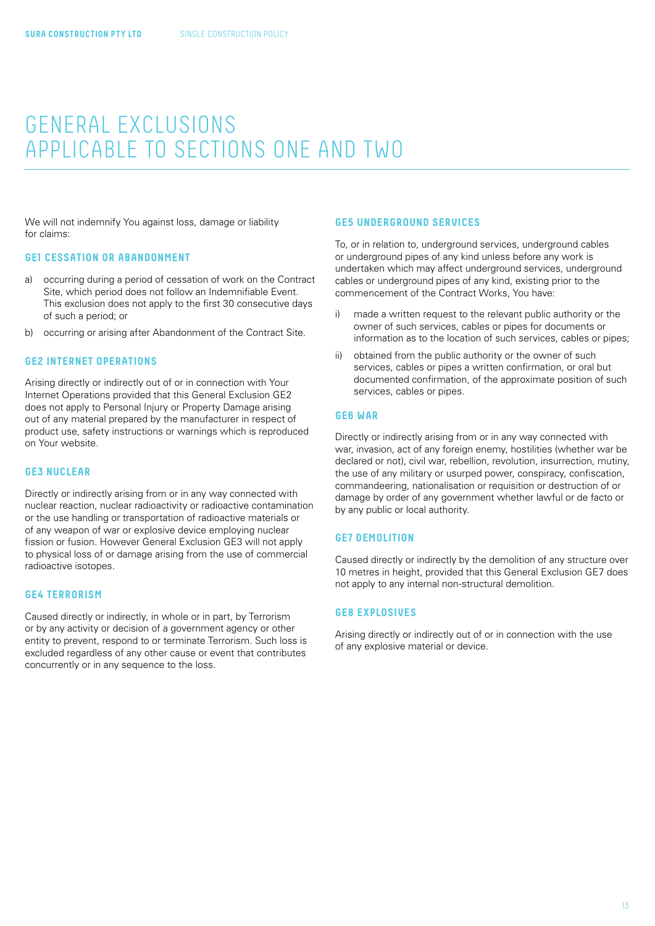### <span id="page-12-0"></span>GENERAL EXCLUSIONS APPLICABLE TO SECTIONS ONE AND TWO

We will not indemnify You against loss, damage or liability for claims:

#### **GE1 CESSATION OR ABANDONMENT**

- a) occurring during a period of cessation of work on the Contract Site, which period does not follow an Indemnifiable Event. This exclusion does not apply to the first 30 consecutive days of such a period; or
- b) occurring or arising after Abandonment of the Contract Site.

#### **GE2 INTERNET OPERATIONS**

Arising directly or indirectly out of or in connection with Your Internet Operations provided that this General Exclusion GE2 does not apply to Personal Injury or Property Damage arising out of any material prepared by the manufacturer in respect of product use, safety instructions or warnings which is reproduced on Your website.

#### **GE3 NUCLEAR**

Directly or indirectly arising from or in any way connected with nuclear reaction, nuclear radioactivity or radioactive contamination or the use handling or transportation of radioactive materials or of any weapon of war or explosive device employing nuclear fission or fusion. However General Exclusion GE3 will not apply to physical loss of or damage arising from the use of commercial radioactive isotopes.

#### **GE4 TERRORISM**

Caused directly or indirectly, in whole or in part, by Terrorism or by any activity or decision of a government agency or other entity to prevent, respond to or terminate Terrorism. Such loss is excluded regardless of any other cause or event that contributes concurrently or in any sequence to the loss.

#### **GE5 UNDERGROUND SERVICES**

To, or in relation to, underground services, underground cables or underground pipes of any kind unless before any work is undertaken which may affect underground services, underground cables or underground pipes of any kind, existing prior to the commencement of the Contract Works, You have:

- i) made a written request to the relevant public authority or the owner of such services, cables or pipes for documents or information as to the location of such services, cables or pipes;
- ii) obtained from the public authority or the owner of such services, cables or pipes a written confirmation, or oral but documented confirmation, of the approximate position of such services, cables or pipes.

#### **GE6 WAR**

Directly or indirectly arising from or in any way connected with war, invasion, act of any foreign enemy, hostilities (whether war be declared or not), civil war, rebellion, revolution, insurrection, mutiny, the use of any military or usurped power, conspiracy, confiscation, commandeering, nationalisation or requisition or destruction of or damage by order of any government whether lawful or de facto or by any public or local authority.

#### **GE7 DEMOLITION**

Caused directly or indirectly by the demolition of any structure over 10 metres in height, provided that this General Exclusion GE7 does not apply to any internal non-structural demolition.

#### **GE8 EXPLOSIVES**

Arising directly or indirectly out of or in connection with the use of any explosive material or device.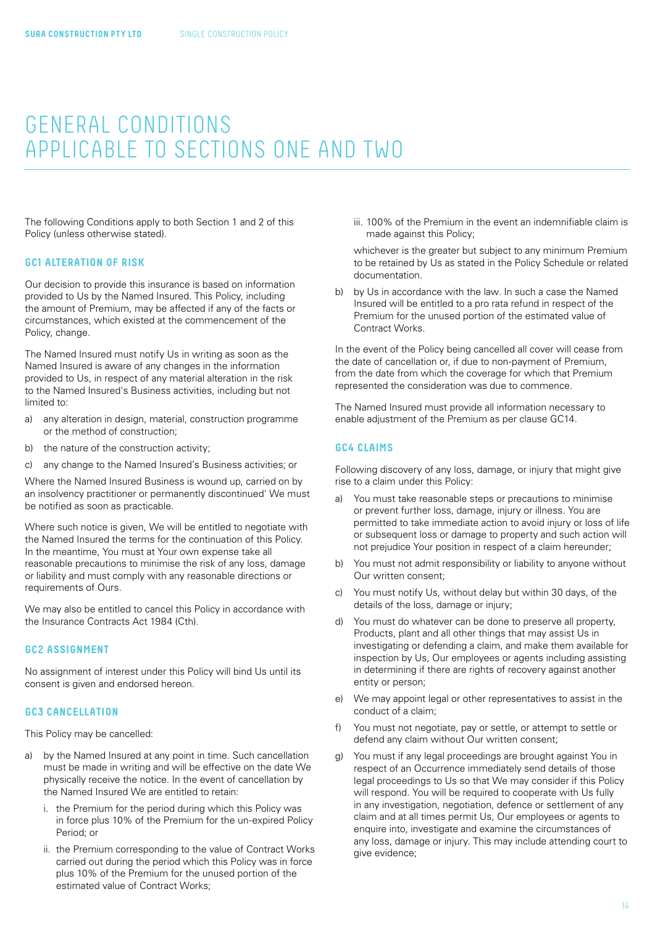### <span id="page-13-0"></span>GENERAL CONDITIONS APPLICABLE TO SECTIONS ONE AND TWO

The following Conditions apply to both Section 1 and 2 of this Policy (unless otherwise stated).

#### **GC1 ALTERATION OF RISK**

Our decision to provide this insurance is based on information provided to Us by the Named Insured. This Policy, including the amount of Premium, may be affected if any of the facts or circumstances, which existed at the commencement of the Policy, change.

The Named Insured must notify Us in writing as soon as the Named Insured is aware of any changes in the information provided to Us, in respect of any material alteration in the risk to the Named Insured's Business activities, including but not limited to:

- a) any alteration in design, material, construction programme or the method of construction;
- b) the nature of the construction activity;
- c) any change to the Named Insured's Business activities; or

Where the Named Insured Business is wound up, carried on by an insolvency practitioner or permanently discontinued' We must be notified as soon as practicable.

Where such notice is given, We will be entitled to negotiate with the Named Insured the terms for the continuation of this Policy. In the meantime, You must at Your own expense take all reasonable precautions to minimise the risk of any loss, damage or liability and must comply with any reasonable directions or requirements of Ours.

We may also be entitled to cancel this Policy in accordance with the Insurance Contracts Act 1984 (Cth).

#### **GC2 ASSIGNMENT**

No assignment of interest under this Policy will bind Us until its consent is given and endorsed hereon.

#### **GC3 CANCELLATION**

This Policy may be cancelled:

- a) by the Named Insured at any point in time. Such cancellation must be made in writing and will be effective on the date We physically receive the notice. In the event of cancellation by the Named Insured We are entitled to retain:
	- i. the Premium for the period during which this Policy was in force plus 10% of the Premium for the un-expired Policy Period; or
	- ii. the Premium corresponding to the value of Contract Works carried out during the period which this Policy was in force plus 10% of the Premium for the unused portion of the estimated value of Contract Works;

iii. 100% of the Premium in the event an indemnifiable claim is made against this Policy;

whichever is the greater but subject to any minimum Premium to be retained by Us as stated in the Policy Schedule or related documentation.

b) by Us in accordance with the law. In such a case the Named Insured will be entitled to a pro rata refund in respect of the Premium for the unused portion of the estimated value of Contract Works.

In the event of the Policy being cancelled all cover will cease from the date of cancellation or, if due to non-payment of Premium, from the date from which the coverage for which that Premium represented the consideration was due to commence.

The Named Insured must provide all information necessary to enable adjustment of the Premium as per clause GC14.

#### **GC4 CLAIMS**

Following discovery of any loss, damage, or injury that might give rise to a claim under this Policy:

- a) You must take reasonable steps or precautions to minimise or prevent further loss, damage, injury or illness. You are permitted to take immediate action to avoid injury or loss of life or subsequent loss or damage to property and such action will not prejudice Your position in respect of a claim hereunder;
- b) You must not admit responsibility or liability to anyone without Our written consent;
- c) You must notify Us, without delay but within 30 days, of the details of the loss, damage or injury;
- d) You must do whatever can be done to preserve all property, Products, plant and all other things that may assist Us in investigating or defending a claim, and make them available for inspection by Us, Our employees or agents including assisting in determining if there are rights of recovery against another entity or person;
- e) We may appoint legal or other representatives to assist in the conduct of a claim;
- f) You must not negotiate, pay or settle, or attempt to settle or defend any claim without Our written consent;
- g) You must if any legal proceedings are brought against You in respect of an Occurrence immediately send details of those legal proceedings to Us so that We may consider if this Policy will respond. You will be required to cooperate with Us fully in any investigation, negotiation, defence or settlement of any claim and at all times permit Us, Our employees or agents to enquire into, investigate and examine the circumstances of any loss, damage or injury. This may include attending court to give evidence;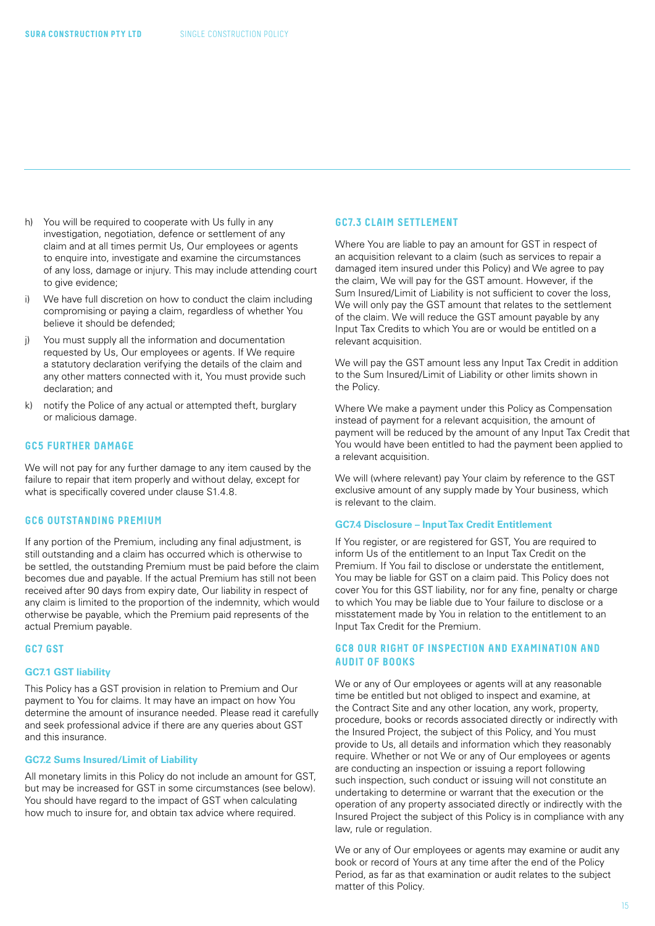- h) You will be required to cooperate with Us fully in any investigation, negotiation, defence or settlement of any claim and at all times permit Us, Our employees or agents to enquire into, investigate and examine the circumstances of any loss, damage or injury. This may include attending court to give evidence;
- i) We have full discretion on how to conduct the claim including compromising or paying a claim, regardless of whether You believe it should be defended;
- j) You must supply all the information and documentation requested by Us, Our employees or agents. If We require a statutory declaration verifying the details of the claim and any other matters connected with it, You must provide such declaration; and
- k) notify the Police of any actual or attempted theft, burglary or malicious damage.

#### **GC5 FURTHER DAMAGE**

We will not pay for any further damage to any item caused by the failure to repair that item properly and without delay, except for what is specifically covered under clause S1.4.8.

#### **GC6 OUTSTANDING PREMIUM**

If any portion of the Premium, including any final adjustment, is still outstanding and a claim has occurred which is otherwise to be settled, the outstanding Premium must be paid before the claim becomes due and payable. If the actual Premium has still not been received after 90 days from expiry date, Our liability in respect of any claim is limited to the proportion of the indemnity, which would otherwise be payable, which the Premium paid represents of the actual Premium payable.

#### **GC7 GST**

#### **GC7.1 GST liability**

This Policy has a GST provision in relation to Premium and Our payment to You for claims. It may have an impact on how You determine the amount of insurance needed. Please read it carefully and seek professional advice if there are any queries about GST and this insurance.

#### **GC7.2 Sums Insured/Limit of Liability**

All monetary limits in this Policy do not include an amount for GST, but may be increased for GST in some circumstances (see below). You should have regard to the impact of GST when calculating how much to insure for, and obtain tax advice where required.

#### **GC7.3 CLAIM SETTLEMENT**

Where You are liable to pay an amount for GST in respect of an acquisition relevant to a claim (such as services to repair a damaged item insured under this Policy) and We agree to pay the claim, We will pay for the GST amount. However, if the Sum Insured/Limit of Liability is not sufficient to cover the loss, We will only pay the GST amount that relates to the settlement of the claim. We will reduce the GST amount payable by any Input Tax Credits to which You are or would be entitled on a relevant acquisition.

We will pay the GST amount less any Input Tax Credit in addition to the Sum Insured/Limit of Liability or other limits shown in the Policy.

Where We make a payment under this Policy as Compensation instead of payment for a relevant acquisition, the amount of payment will be reduced by the amount of any Input Tax Credit that You would have been entitled to had the payment been applied to a relevant acquisition.

We will (where relevant) pay Your claim by reference to the GST exclusive amount of any supply made by Your business, which is relevant to the claim.

#### **GC7.4 Disclosure – Input Tax Credit Entitlement**

If You register, or are registered for GST, You are required to inform Us of the entitlement to an Input Tax Credit on the Premium. If You fail to disclose or understate the entitlement, You may be liable for GST on a claim paid. This Policy does not cover You for this GST liability, nor for any fine, penalty or charge to which You may be liable due to Your failure to disclose or a misstatement made by You in relation to the entitlement to an Input Tax Credit for the Premium.

### **GC8 OUR RIGHT OF INSPECTION AND EXAMINATION AND AUDIT OF BOOKS**

We or any of Our employees or agents will at any reasonable time be entitled but not obliged to inspect and examine, at the Contract Site and any other location, any work, property, procedure, books or records associated directly or indirectly with the Insured Project, the subject of this Policy, and You must provide to Us, all details and information which they reasonably require. Whether or not We or any of Our employees or agents are conducting an inspection or issuing a report following such inspection, such conduct or issuing will not constitute an undertaking to determine or warrant that the execution or the operation of any property associated directly or indirectly with the Insured Project the subject of this Policy is in compliance with any law, rule or regulation.

We or any of Our employees or agents may examine or audit any book or record of Yours at any time after the end of the Policy Period, as far as that examination or audit relates to the subject matter of this Policy.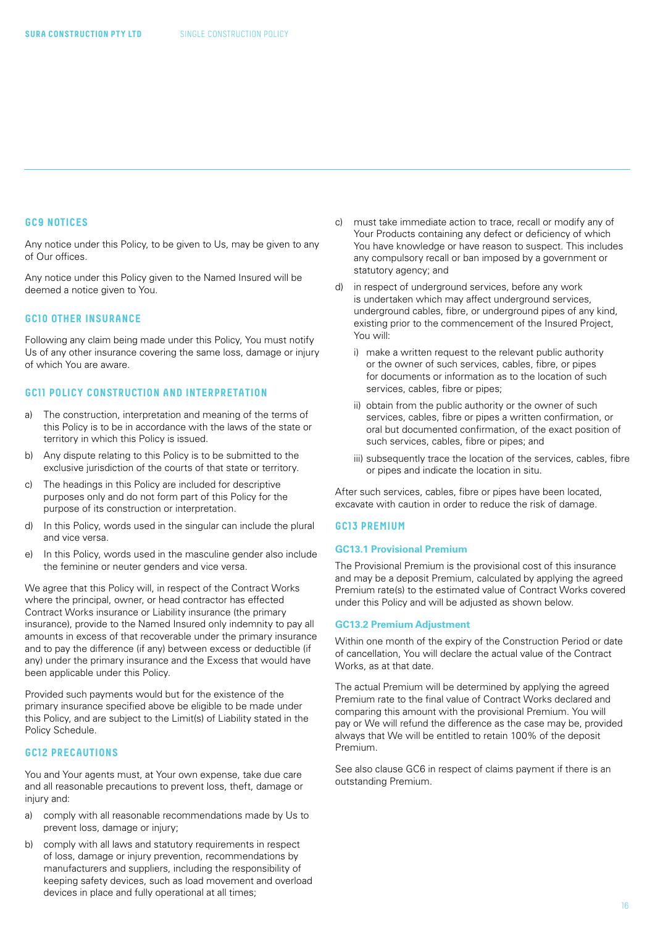#### **GC9 NOTICES**

Any notice under this Policy, to be given to Us, may be given to any of Our offices.

Any notice under this Policy given to the Named Insured will be deemed a notice given to You.

#### **GC10 OTHER INSURANCE**

Following any claim being made under this Policy, You must notify Us of any other insurance covering the same loss, damage or injury of which You are aware.

#### **GC11 POLICY CONSTRUCTION AND INTERPRETATION**

- a) The construction, interpretation and meaning of the terms of this Policy is to be in accordance with the laws of the state or territory in which this Policy is issued.
- b) Any dispute relating to this Policy is to be submitted to the exclusive jurisdiction of the courts of that state or territory.
- c) The headings in this Policy are included for descriptive purposes only and do not form part of this Policy for the purpose of its construction or interpretation.
- d) In this Policy, words used in the singular can include the plural and vice versa.
- e) In this Policy, words used in the masculine gender also include the feminine or neuter genders and vice versa.

We agree that this Policy will, in respect of the Contract Works where the principal, owner, or head contractor has effected Contract Works insurance or Liability insurance (the primary insurance), provide to the Named Insured only indemnity to pay all amounts in excess of that recoverable under the primary insurance and to pay the difference (if any) between excess or deductible (if any) under the primary insurance and the Excess that would have been applicable under this Policy.

Provided such payments would but for the existence of the primary insurance specified above be eligible to be made under this Policy, and are subject to the Limit(s) of Liability stated in the Policy Schedule.

#### **GC12 PRECAUTIONS**

You and Your agents must, at Your own expense, take due care and all reasonable precautions to prevent loss, theft, damage or injury and:

- a) comply with all reasonable recommendations made by Us to prevent loss, damage or injury;
- b) comply with all laws and statutory requirements in respect of loss, damage or injury prevention, recommendations by manufacturers and suppliers, including the responsibility of keeping safety devices, such as load movement and overload devices in place and fully operational at all times;
- c) must take immediate action to trace, recall or modify any of Your Products containing any defect or deficiency of which You have knowledge or have reason to suspect. This includes any compulsory recall or ban imposed by a government or statutory agency; and
- d) in respect of underground services, before any work is undertaken which may affect underground services, underground cables, fibre, or underground pipes of any kind, existing prior to the commencement of the Insured Project, You will:
	- i) make a written request to the relevant public authority or the owner of such services, cables, fibre, or pipes for documents or information as to the location of such services, cables, fibre or pipes;
	- ii) obtain from the public authority or the owner of such services, cables, fibre or pipes a written confirmation, or oral but documented confirmation, of the exact position of such services, cables, fibre or pipes; and
	- iii) subsequently trace the location of the services, cables, fibre or pipes and indicate the location in situ.

After such services, cables, fibre or pipes have been located, excavate with caution in order to reduce the risk of damage.

#### **GC13 PREMIUM**

#### **GC13.1 Provisional Premium**

The Provisional Premium is the provisional cost of this insurance and may be a deposit Premium, calculated by applying the agreed Premium rate(s) to the estimated value of Contract Works covered under this Policy and will be adjusted as shown below.

#### **GC13.2 Premium Adjustment**

Within one month of the expiry of the Construction Period or date of cancellation, You will declare the actual value of the Contract Works, as at that date.

The actual Premium will be determined by applying the agreed Premium rate to the final value of Contract Works declared and comparing this amount with the provisional Premium. You will pay or We will refund the difference as the case may be, provided always that We will be entitled to retain 100% of the deposit Premium.

See also clause GC6 in respect of claims payment if there is an outstanding Premium.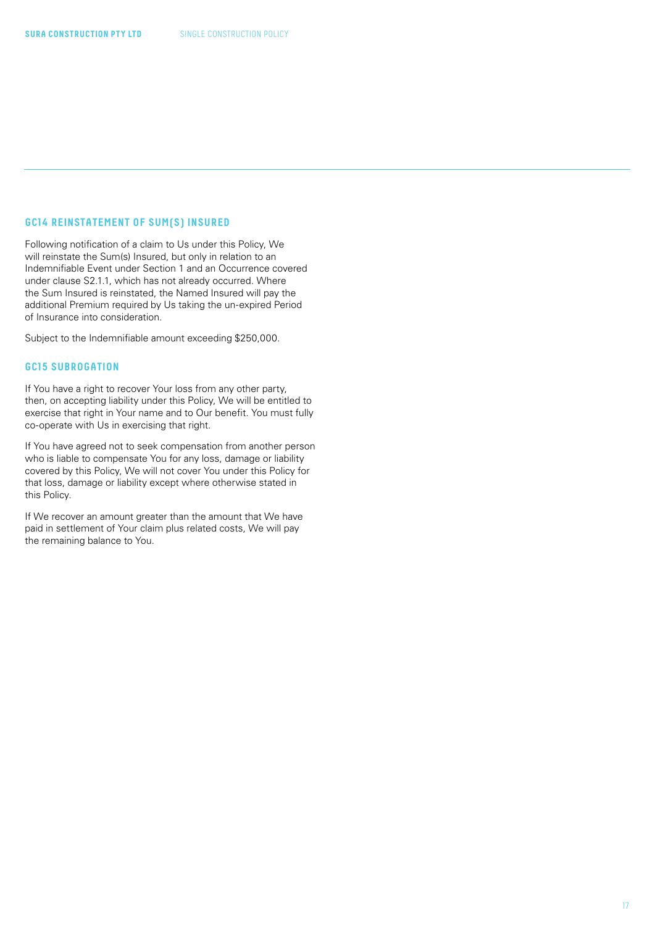#### **GC14 REINSTATEMENT OF SUM(S) INSURED**

Following notification of a claim to Us under this Policy, We will reinstate the Sum(s) Insured, but only in relation to an Indemnifiable Event under Section 1 and an Occurrence covered under clause S2.1.1, which has not already occurred. Where the Sum Insured is reinstated, the Named Insured will pay the additional Premium required by Us taking the un-expired Period of Insurance into consideration.

Subject to the Indemnifiable amount exceeding \$250,000.

#### **GC15 SUBROGATION**

If You have a right to recover Your loss from any other party, then, on accepting liability under this Policy, We will be entitled to exercise that right in Your name and to Our benefit. You must fully co-operate with Us in exercising that right.

If You have agreed not to seek compensation from another person who is liable to compensate You for any loss, damage or liability covered by this Policy, We will not cover You under this Policy for that loss, damage or liability except where otherwise stated in this Policy.

If We recover an amount greater than the amount that We have paid in settlement of Your claim plus related costs, We will pay the remaining balance to You.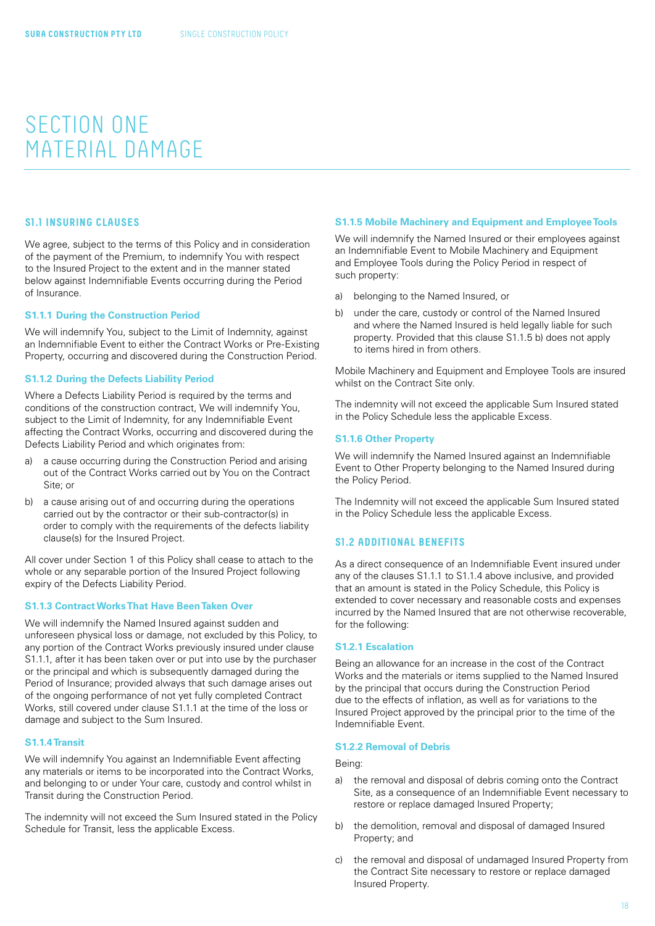### <span id="page-17-0"></span>SECTION ONE MATERIAL DAMAGE

#### **S1.1 INSURING CLAUSES**

We agree, subject to the terms of this Policy and in consideration of the payment of the Premium, to indemnify You with respect to the Insured Project to the extent and in the manner stated below against Indemnifiable Events occurring during the Period of Insurance.

#### **S1.1.1 During the Construction Period**

We will indemnify You, subject to the Limit of Indemnity, against an Indemnifiable Event to either the Contract Works or Pre-Existing Property, occurring and discovered during the Construction Period.

#### **S1.1.2 During the Defects Liability Period**

Where a Defects Liability Period is required by the terms and conditions of the construction contract, We will indemnify You, subject to the Limit of Indemnity, for any Indemnifiable Event affecting the Contract Works, occurring and discovered during the Defects Liability Period and which originates from:

- a) a cause occurring during the Construction Period and arising out of the Contract Works carried out by You on the Contract Site; or
- b) a cause arising out of and occurring during the operations carried out by the contractor or their sub-contractor(s) in order to comply with the requirements of the defects liability clause(s) for the Insured Project.

All cover under Section 1 of this Policy shall cease to attach to the whole or any separable portion of the Insured Project following expiry of the Defects Liability Period.

#### **S1.1.3 Contract Works That Have Been Taken Over**

We will indemnify the Named Insured against sudden and unforeseen physical loss or damage, not excluded by this Policy, to any portion of the Contract Works previously insured under clause S1.1.1, after it has been taken over or put into use by the purchaser or the principal and which is subsequently damaged during the Period of Insurance; provided always that such damage arises out of the ongoing performance of not yet fully completed Contract Works, still covered under clause S1.1.1 at the time of the loss or damage and subject to the Sum Insured.

#### **S1.1.4 Transit**

We will indemnify You against an Indemnifiable Event affecting any materials or items to be incorporated into the Contract Works, and belonging to or under Your care, custody and control whilst in Transit during the Construction Period.

The indemnity will not exceed the Sum Insured stated in the Policy Schedule for Transit, less the applicable Excess.

#### **S1.1.5 Mobile Machinery and Equipment and Employee Tools**

We will indemnify the Named Insured or their employees against an Indemnifiable Event to Mobile Machinery and Equipment and Employee Tools during the Policy Period in respect of such property:

- a) belonging to the Named Insured, or
- b) under the care, custody or control of the Named Insured and where the Named Insured is held legally liable for such property. Provided that this clause S1.1.5 b) does not apply to items hired in from others.

Mobile Machinery and Equipment and Employee Tools are insured whilst on the Contract Site only.

The indemnity will not exceed the applicable Sum Insured stated in the Policy Schedule less the applicable Excess.

#### **S1.1.6 Other Property**

We will indemnify the Named Insured against an Indemnifiable Event to Other Property belonging to the Named Insured during the Policy Period.

The Indemnity will not exceed the applicable Sum Insured stated in the Policy Schedule less the applicable Excess.

#### **S1.2 ADDITIONAL BENEFITS**

As a direct consequence of an Indemnifiable Event insured under any of the clauses S1.1.1 to S1.1.4 above inclusive, and provided that an amount is stated in the Policy Schedule, this Policy is extended to cover necessary and reasonable costs and expenses incurred by the Named Insured that are not otherwise recoverable, for the following:

#### **S1.2.1 Escalation**

Being an allowance for an increase in the cost of the Contract Works and the materials or items supplied to the Named Insured by the principal that occurs during the Construction Period due to the effects of inflation, as well as for variations to the Insured Project approved by the principal prior to the time of the Indemnifiable Event.

#### **S1.2.2 Removal of Debris**

#### Being:

- a) the removal and disposal of debris coming onto the Contract Site, as a consequence of an Indemnifiable Event necessary to restore or replace damaged Insured Property;
- b) the demolition, removal and disposal of damaged Insured Property; and
- c) the removal and disposal of undamaged Insured Property from the Contract Site necessary to restore or replace damaged Insured Property.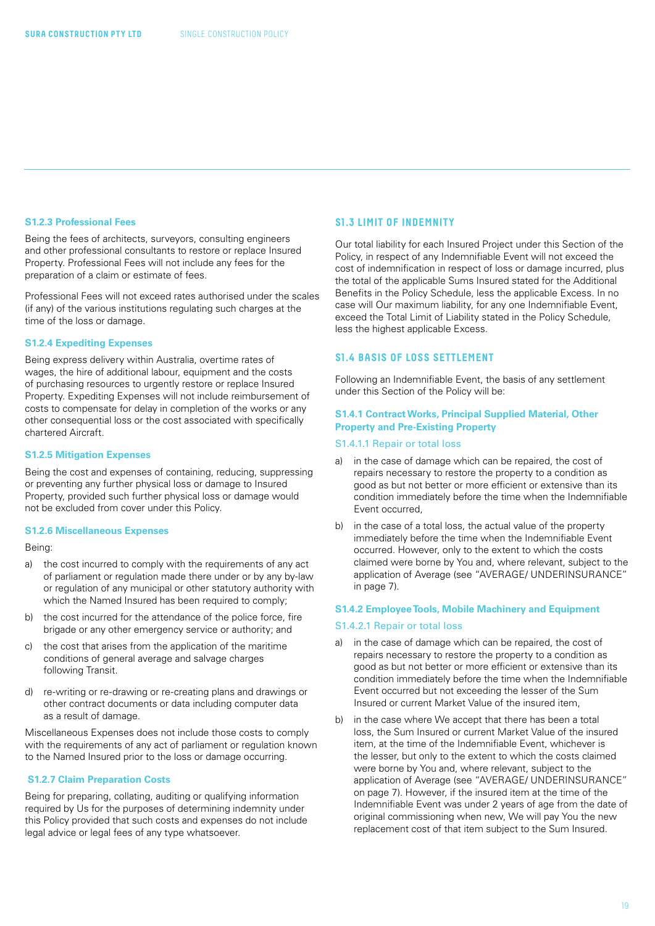#### <span id="page-18-0"></span>**S1.2.3 Professional Fees**

Being the fees of architects, surveyors, consulting engineers and other professional consultants to restore or replace Insured Property. Professional Fees will not include any fees for the preparation of a claim or estimate of fees.

Professional Fees will not exceed rates authorised under the scales (if any) of the various institutions regulating such charges at the time of the loss or damage.

#### **S1.2.4 Expediting Expenses**

Being express delivery within Australia, overtime rates of wages, the hire of additional labour, equipment and the costs of purchasing resources to urgently restore or replace Insured Property. Expediting Expenses will not include reimbursement of costs to compensate for delay in completion of the works or any other consequential loss or the cost associated with specifically chartered Aircraft.

#### **S1.2.5 Mitigation Expenses**

Being the cost and expenses of containing, reducing, suppressing or preventing any further physical loss or damage to Insured Property, provided such further physical loss or damage would not be excluded from cover under this Policy.

#### **S1.2.6 Miscellaneous Expenses**

Being:

- a) the cost incurred to comply with the requirements of any act of parliament or regulation made there under or by any by-law or regulation of any municipal or other statutory authority with which the Named Insured has been required to comply;
- b) the cost incurred for the attendance of the police force, fire brigade or any other emergency service or authority; and
- c) the cost that arises from the application of the maritime conditions of general average and salvage charges following Transit.
- d) re-writing or re-drawing or re-creating plans and drawings or other contract documents or data including computer data as a result of damage.

Miscellaneous Expenses does not include those costs to comply with the requirements of any act of parliament or regulation known to the Named Insured prior to the loss or damage occurring.

#### **S1.2.7 Claim Preparation Costs**

Being for preparing, collating, auditing or qualifying information required by Us for the purposes of determining indemnity under this Policy provided that such costs and expenses do not include legal advice or legal fees of any type whatsoever.

#### **S1.3 LIMIT OF INDEMNITY**

Our total liability for each Insured Project under this Section of the Policy, in respect of any Indemnifiable Event will not exceed the cost of indemnification in respect of loss or damage incurred, plus the total of the applicable Sums Insured stated for the Additional Benefits in the Policy Schedule, less the applicable Excess. In no case will Our maximum liability, for any one Indemnifiable Event, exceed the Total Limit of Liability stated in the Policy Schedule, less the highest applicable Excess.

#### **S1.4 BASIS OF LOSS SETTLEMENT**

Following an Indemnifiable Event, the basis of any settlement under this Section of the Policy will be:

#### **S1.4.1 Contract Works, Principal Supplied Material, Other Property and Pre-Existing Property**

#### S1.4.1.1 Repair or total loss

- a) in the case of damage which can be repaired, the cost of repairs necessary to restore the property to a condition as good as but not better or more efficient or extensive than its condition immediately before the time when the Indemnifiable Event occurred,
- b) in the case of a total loss, the actual value of the property immediately before the time when the Indemnifiable Event occurred. However, only to the extent to which the costs claimed were borne by You and, where relevant, subject to the application of Average (see "AVERAGE/ UNDERINSURANCE" in page 7).

#### **S1.4.2 Employee Tools, Mobile Machinery and Equipment**

#### S1.4.2.1 Repair or total loss

- a) in the case of damage which can be repaired, the cost of repairs necessary to restore the property to a condition as good as but not better or more efficient or extensive than its condition immediately before the time when the Indemnifiable Event occurred but not exceeding the lesser of the Sum Insured or current Market Value of the insured item,
- b) in the case where We accept that there has been a total loss, the Sum Insured or current Market Value of the insured item, at the time of the Indemnifiable Event, whichever is the lesser, but only to the extent to which the costs claimed were borne by You and, where relevant, subject to the application of Average (see "AVERAGE/ UNDERINSURANCE" on page 7). However, if the insured item at the time of the Indemnifiable Event was under 2 years of age from the date of original commissioning when new, We will pay You the new replacement cost of that item subject to the Sum Insured.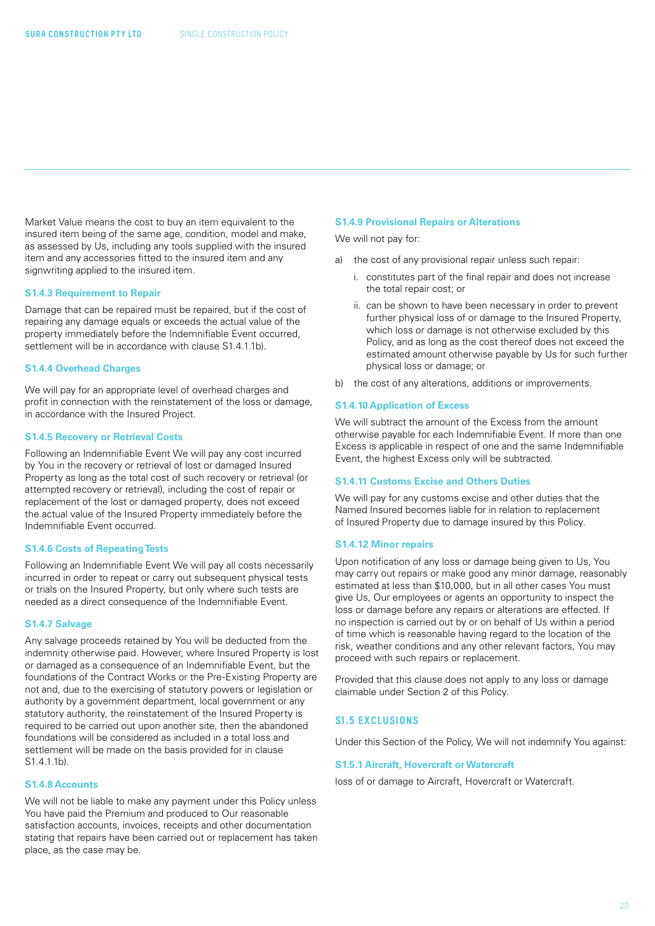<span id="page-19-0"></span>Market Value means the cost to buy an item equivalent to the insured item being of the same age, condition, model and make, as assessed by Us, including any tools supplied with the insured item and any accessories fitted to the insured item and any signwriting applied to the insured item.

#### **S1.4.3 Requirement to Repair**

Damage that can be repaired must be repaired, but if the cost of repairing any damage equals or exceeds the actual value of the property immediately before the Indemnifiable Event occurred, settlement will be in accordance with clause S1.4.1.1b).

#### **S1.4.4 Overhead Charges**

We will pay for an appropriate level of overhead charges and profit in connection with the reinstatement of the loss or damage, in accordance with the Insured Project.

#### **S1.4.5 Recovery or Retrieval Costs**

Following an Indemnifiable Event We will pay any cost incurred by You in the recovery or retrieval of lost or damaged Insured Property as long as the total cost of such recovery or retrieval (or attempted recovery or retrieval), including the cost of repair or replacement of the lost or damaged property, does not exceed the actual value of the Insured Property immediately before the Indemnifiable Event occurred.

#### **S1.4.6 Costs of Repeating Tests**

Following an Indemnifiable Event We will pay all costs necessarily incurred in order to repeat or carry out subsequent physical tests or trials on the Insured Property, but only where such tests are needed as a direct consequence of the Indemnifiable Event.

#### **S1.4.7 Salvage**

Any salvage proceeds retained by You will be deducted from the indemnity otherwise paid. However, where Insured Property is lost or damaged as a consequence of an Indemnifiable Event, but the foundations of the Contract Works or the Pre-Existing Property are not and, due to the exercising of statutory powers or legislation or authority by a government department, local government or any statutory authority, the reinstatement of the Insured Property is required to be carried out upon another site, then the abandoned foundations will be considered as included in a total loss and settlement will be made on the basis provided for in clause  $S1.4.1.1h$ 

#### **S1.4.8 Accounts**

We will not be liable to make any payment under this Policy unless You have paid the Premium and produced to Our reasonable satisfaction accounts, invoices, receipts and other documentation stating that repairs have been carried out or replacement has taken place, as the case may be.

#### **S1.4.9 Provisional Repairs or Alterations**

We will not pay for:

- a) the cost of any provisional repair unless such repair:
	- i. constitutes part of the final repair and does not increase the total repair cost; or
	- ii. can be shown to have been necessary in order to prevent further physical loss of or damage to the Insured Property, which loss or damage is not otherwise excluded by this Policy, and as long as the cost thereof does not exceed the estimated amount otherwise payable by Us for such further physical loss or damage; or
- b) the cost of any alterations, additions or improvements.

#### **S1.4.10 Application of Excess**

We will subtract the amount of the Excess from the amount otherwise payable for each Indemnifiable Event. If more than one Excess is applicable in respect of one and the same Indemnifiable Event, the highest Excess only will be subtracted.

#### **S1.4.11 Customs Excise and Others Duties**

We will pay for any customs excise and other duties that the Named Insured becomes liable for in relation to replacement of Insured Property due to damage insured by this Policy.

#### **S1.4.12 Minor repairs**

Upon notification of any loss or damage being given to Us, You may carry out repairs or make good any minor damage, reasonably estimated at less than \$10,000, but in all other cases You must give Us, Our employees or agents an opportunity to inspect the loss or damage before any repairs or alterations are effected. If no inspection is carried out by or on behalf of Us within a period of time which is reasonable having regard to the location of the risk, weather conditions and any other relevant factors, You may proceed with such repairs or replacement.

Provided that this clause does not apply to any loss or damage claimable under Section 2 of this Policy.

#### **S1.5 EXCLUSIONS**

Under this Section of the Policy, We will not indemnify You against:

#### **S1.5.1 Aircraft, Hovercraft or Watercraft**

loss of or damage to Aircraft, Hovercraft or Watercraft.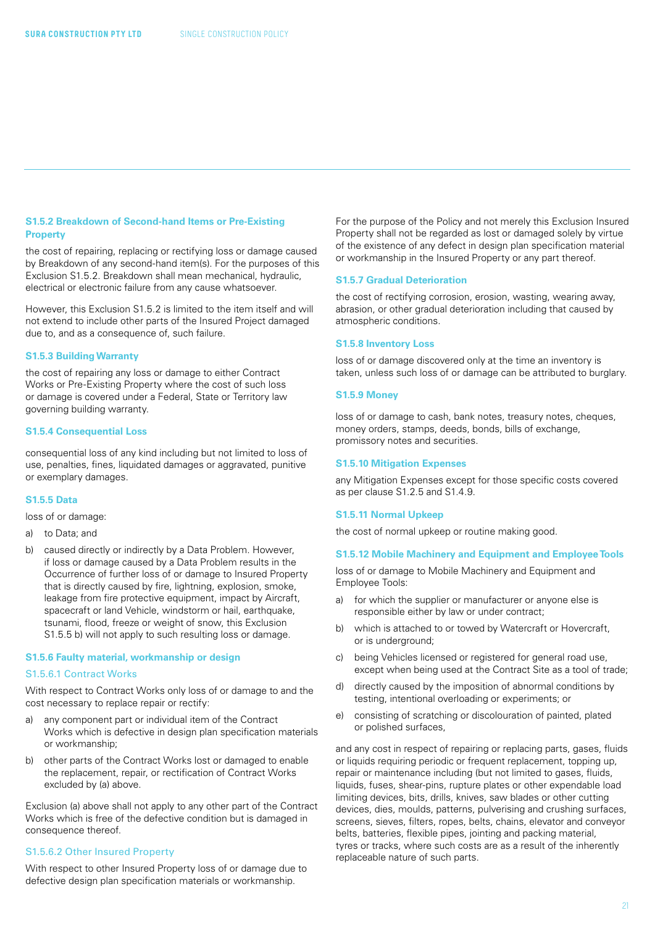#### **S1.5.2 Breakdown of Second-hand Items or Pre-Existing Property**

the cost of repairing, replacing or rectifying loss or damage caused by Breakdown of any second-hand item(s). For the purposes of this Exclusion S1.5.2. Breakdown shall mean mechanical, hydraulic, electrical or electronic failure from any cause whatsoever.

However, this Exclusion S1.5.2 is limited to the item itself and will not extend to include other parts of the Insured Project damaged due to, and as a consequence of, such failure.

#### **S1.5.3 Building Warranty**

the cost of repairing any loss or damage to either Contract Works or Pre-Existing Property where the cost of such loss or damage is covered under a Federal, State or Territory law governing building warranty.

#### **S1.5.4 Consequential Loss**

consequential loss of any kind including but not limited to loss of use, penalties, fines, liquidated damages or aggravated, punitive or exemplary damages.

#### **S1.5.5 Data**

loss of or damage:

#### a) to Data; and

b) caused directly or indirectly by a Data Problem. However, if loss or damage caused by a Data Problem results in the Occurrence of further loss of or damage to Insured Property that is directly caused by fire, lightning, explosion, smoke, leakage from fire protective equipment, impact by Aircraft, spacecraft or land Vehicle, windstorm or hail, earthquake, tsunami, flood, freeze or weight of snow, this Exclusion S1.5.5 b) will not apply to such resulting loss or damage.

#### **S1.5.6 Faulty material, workmanship or design**

#### S1.5.6.1 Contract Works

With respect to Contract Works only loss of or damage to and the cost necessary to replace repair or rectify:

- a) any component part or individual item of the Contract Works which is defective in design plan specification materials or workmanship;
- b) other parts of the Contract Works lost or damaged to enable the replacement, repair, or rectification of Contract Works excluded by (a) above.

Exclusion (a) above shall not apply to any other part of the Contract Works which is free of the defective condition but is damaged in consequence thereof.

#### S1.5.6.2 Other Insured Property

With respect to other Insured Property loss of or damage due to defective design plan specification materials or workmanship.

For the purpose of the Policy and not merely this Exclusion Insured Property shall not be regarded as lost or damaged solely by virtue of the existence of any defect in design plan specification material or workmanship in the Insured Property or any part thereof.

#### **S1.5.7 Gradual Deterioration**

the cost of rectifying corrosion, erosion, wasting, wearing away, abrasion, or other gradual deterioration including that caused by atmospheric conditions.

#### **S1.5.8 Inventory Loss**

loss of or damage discovered only at the time an inventory is taken, unless such loss of or damage can be attributed to burglary.

#### **S1.5.9 Money**

loss of or damage to cash, bank notes, treasury notes, cheques, money orders, stamps, deeds, bonds, bills of exchange, promissory notes and securities.

#### **S1.5.10 Mitigation Expenses**

any Mitigation Expenses except for those specific costs covered as per clause S1.2.5 and S1.4.9.

#### **S1.5.11 Normal Upkeep**

the cost of normal upkeep or routine making good.

#### **S1.5.12 Mobile Machinery and Equipment and Employee Tools**

loss of or damage to Mobile Machinery and Equipment and Employee Tools:

- a) for which the supplier or manufacturer or anyone else is responsible either by law or under contract;
- b) which is attached to or towed by Watercraft or Hovercraft, or is underground;
- c) being Vehicles licensed or registered for general road use, except when being used at the Contract Site as a tool of trade;
- d) directly caused by the imposition of abnormal conditions by testing, intentional overloading or experiments; or
- e) consisting of scratching or discolouration of painted, plated or polished surfaces,

and any cost in respect of repairing or replacing parts, gases, fluids or liquids requiring periodic or frequent replacement, topping up, repair or maintenance including (but not limited to gases, fluids, liquids, fuses, shear-pins, rupture plates or other expendable load limiting devices, bits, drills, knives, saw blades or other cutting devices, dies, moulds, patterns, pulverising and crushing surfaces, screens, sieves, filters, ropes, belts, chains, elevator and conveyor belts, batteries, flexible pipes, jointing and packing material, tyres or tracks, where such costs are as a result of the inherently replaceable nature of such parts.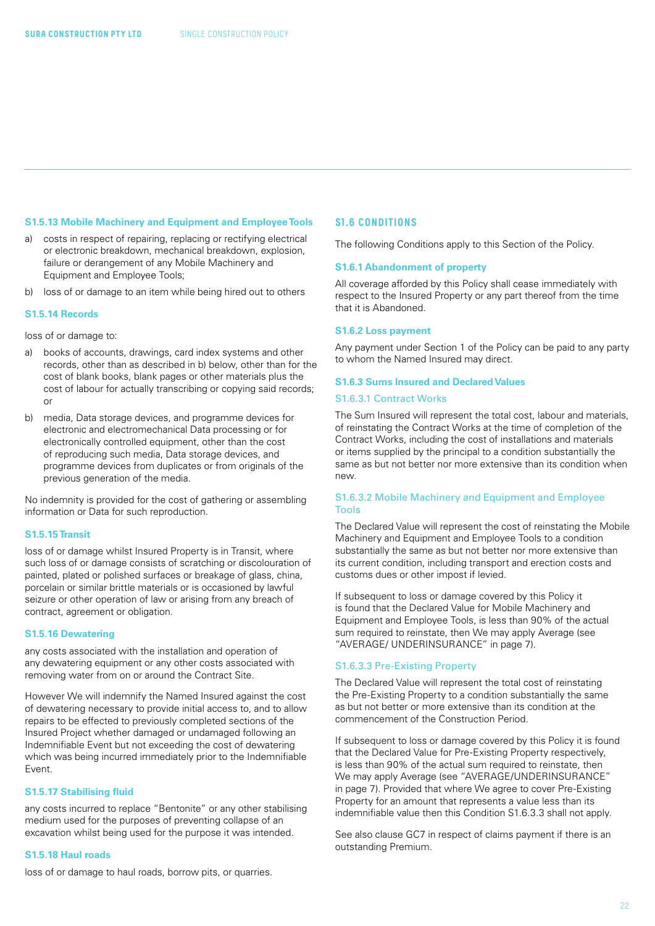#### <span id="page-21-0"></span>**S1.5.13 Mobile Machinery and Equipment and Employee Tools**

- a) costs in respect of repairing, replacing or rectifying electrical or electronic breakdown, mechanical breakdown, explosion, failure or derangement of any Mobile Machinery and Equipment and Employee Tools;
- b) loss of or damage to an item while being hired out to others

#### **S1.5.14 Records**

loss of or damage to:

- a) books of accounts, drawings, card index systems and other records, other than as described in b) below, other than for the cost of blank books, blank pages or other materials plus the cost of labour for actually transcribing or copying said records; or
- b) media, Data storage devices, and programme devices for electronic and electromechanical Data processing or for electronically controlled equipment, other than the cost of reproducing such media, Data storage devices, and programme devices from duplicates or from originals of the previous generation of the media.

No indemnity is provided for the cost of gathering or assembling information or Data for such reproduction.

#### **S1.5.15 Transit**

loss of or damage whilst Insured Property is in Transit, where such loss of or damage consists of scratching or discolouration of painted, plated or polished surfaces or breakage of glass, china, porcelain or similar brittle materials or is occasioned by lawful seizure or other operation of law or arising from any breach of contract, agreement or obligation.

#### **S1.5.16 Dewatering**

any costs associated with the installation and operation of any dewatering equipment or any other costs associated with removing water from on or around the Contract Site.

However We will indemnify the Named Insured against the cost of dewatering necessary to provide initial access to, and to allow repairs to be effected to previously completed sections of the Insured Project whether damaged or undamaged following an Indemnifiable Event but not exceeding the cost of dewatering which was being incurred immediately prior to the Indemnifiable Event.

#### **S1.5.17 Stabilising fluid**

any costs incurred to replace "Bentonite" or any other stabilising medium used for the purposes of preventing collapse of an excavation whilst being used for the purpose it was intended.

#### **S1.5.18 Haul roads**

loss of or damage to haul roads, borrow pits, or quarries.

#### **S1.6 CONDITIONS**

The following Conditions apply to this Section of the Policy.

#### **S1.6.1 Abandonment of property**

All coverage afforded by this Policy shall cease immediately with respect to the Insured Property or any part thereof from the time that it is Abandoned.

#### **S1.6.2 Loss payment**

Any payment under Section 1 of the Policy can be paid to any party to whom the Named Insured may direct.

#### **S1.6.3 Sums Insured and Declared Values**

#### S1.6.3.1 Contract Works

The Sum Insured will represent the total cost, labour and materials, of reinstating the Contract Works at the time of completion of the Contract Works, including the cost of installations and materials or items supplied by the principal to a condition substantially the same as but not better nor more extensive than its condition when new.

#### S1.6.3.2 Mobile Machinery and Equipment and Employee Tools

The Declared Value will represent the cost of reinstating the Mobile Machinery and Equipment and Employee Tools to a condition substantially the same as but not better nor more extensive than its current condition, including transport and erection costs and customs dues or other impost if levied.

If subsequent to loss or damage covered by this Policy it is found that the Declared Value for Mobile Machinery and Equipment and Employee Tools, is less than 90% of the actual sum required to reinstate, then We may apply Average (see "AVERAGE/ UNDERINSURANCE" in page 7).

#### S1.6.3.3 Pre-Existing Property

The Declared Value will represent the total cost of reinstating the Pre-Existing Property to a condition substantially the same as but not better or more extensive than its condition at the commencement of the Construction Period.

If subsequent to loss or damage covered by this Policy it is found that the Declared Value for Pre-Existing Property respectively, is less than 90% of the actual sum required to reinstate, then We may apply Average (see "AVERAGE/UNDERINSURANCE" in page 7). Provided that where We agree to cover Pre-Existing Property for an amount that represents a value less than its indemnifiable value then this Condition S1.6.3.3 shall not apply.

See also clause GC7 in respect of claims payment if there is an outstanding Premium.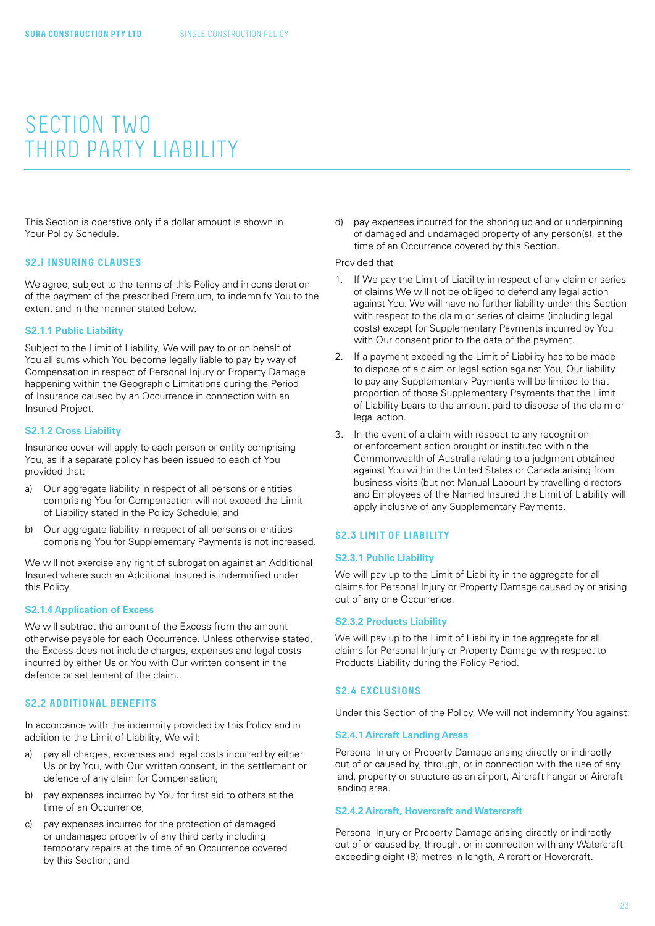### <span id="page-22-0"></span>SECTION TWO THIRD PARTY LIABILITY

This Section is operative only if a dollar amount is shown in Your Policy Schedule.

#### **S2.1 INSURING CLAUSES**

We agree, subject to the terms of this Policy and in consideration of the payment of the prescribed Premium, to indemnify You to the extent and in the manner stated below.

#### **S2.1.1 Public Liability**

Subject to the Limit of Liability, We will pay to or on behalf of You all sums which You become legally liable to pay by way of Compensation in respect of Personal Injury or Property Damage happening within the Geographic Limitations during the Period of Insurance caused by an Occurrence in connection with an Insured Project.

#### **S2.1.2 Cross Liability**

Insurance cover will apply to each person or entity comprising You, as if a separate policy has been issued to each of You provided that:

- a) Our aggregate liability in respect of all persons or entities comprising You for Compensation will not exceed the Limit of Liability stated in the Policy Schedule; and
- b) Our aggregate liability in respect of all persons or entities comprising You for Supplementary Payments is not increased.

We will not exercise any right of subrogation against an Additional Insured where such an Additional Insured is indemnified under this Policy.

#### **S2.1.4 Application of Excess**

We will subtract the amount of the Excess from the amount otherwise payable for each Occurrence. Unless otherwise stated, the Excess does not include charges, expenses and legal costs incurred by either Us or You with Our written consent in the defence or settlement of the claim.

#### **S2.2 ADDITIONAL BENEFITS**

In accordance with the indemnity provided by this Policy and in addition to the Limit of Liability, We will:

- a) pay all charges, expenses and legal costs incurred by either Us or by You, with Our written consent, in the settlement or defence of any claim for Compensation;
- b) pay expenses incurred by You for first aid to others at the time of an Occurrence;
- c) pay expenses incurred for the protection of damaged or undamaged property of any third party including temporary repairs at the time of an Occurrence covered by this Section; and

d) pay expenses incurred for the shoring up and or underpinning of damaged and undamaged property of any person(s), at the time of an Occurrence covered by this Section.

#### Provided that

- 1. If We pay the Limit of Liability in respect of any claim or series of claims We will not be obliged to defend any legal action against You. We will have no further liability under this Section with respect to the claim or series of claims (including legal costs) except for Supplementary Payments incurred by You with Our consent prior to the date of the payment.
- 2. If a payment exceeding the Limit of Liability has to be made to dispose of a claim or legal action against You, Our liability to pay any Supplementary Payments will be limited to that proportion of those Supplementary Payments that the Limit of Liability bears to the amount paid to dispose of the claim or legal action.
- 3. In the event of a claim with respect to any recognition or enforcement action brought or instituted within the Commonwealth of Australia relating to a judgment obtained against You within the United States or Canada arising from business visits (but not Manual Labour) by travelling directors and Employees of the Named Insured the Limit of Liability will apply inclusive of any Supplementary Payments.

#### **S2.3 LIMIT OF LIABILITY**

#### **S2.3.1 Public Liability**

We will pay up to the Limit of Liability in the aggregate for all claims for Personal Injury or Property Damage caused by or arising out of any one Occurrence.

#### **S2.3.2 Products Liability**

We will pay up to the Limit of Liability in the aggregate for all claims for Personal Injury or Property Damage with respect to Products Liability during the Policy Period.

#### **S2.4 EXCLUSIONS**

Under this Section of the Policy, We will not indemnify You against:

#### **S2.4.1 Aircraft Landing Areas**

Personal Injury or Property Damage arising directly or indirectly out of or caused by, through, or in connection with the use of any land, property or structure as an airport, Aircraft hangar or Aircraft landing area.

#### **S2.4.2 Aircraft, Hovercraft and Watercraft**

Personal Injury or Property Damage arising directly or indirectly out of or caused by, through, or in connection with any Watercraft exceeding eight (8) metres in length, Aircraft or Hovercraft.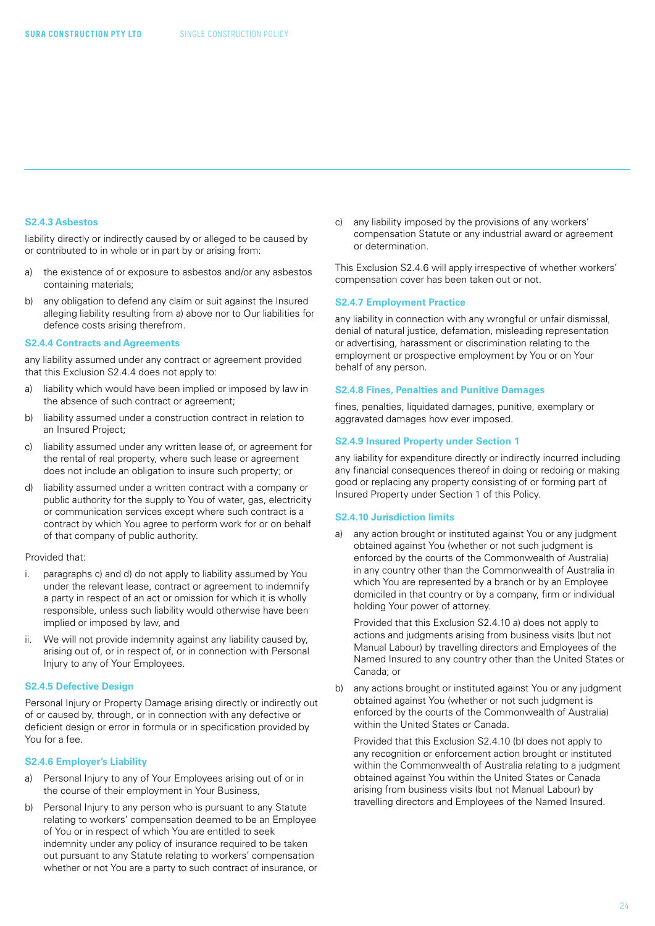#### **S2.4.3 Asbestos**

liability directly or indirectly caused by or alleged to be caused by or contributed to in whole or in part by or arising from:

- a) the existence of or exposure to asbestos and/or any asbestos containing materials;
- b) any obligation to defend any claim or suit against the Insured alleging liability resulting from a) above nor to Our liabilities for defence costs arising therefrom.

#### **S2.4.4 Contracts and Agreements**

any liability assumed under any contract or agreement provided that this Exclusion S2.4.4 does not apply to:

- a) liability which would have been implied or imposed by law in the absence of such contract or agreement;
- b) liability assumed under a construction contract in relation to an Insured Project;
- c) liability assumed under any written lease of, or agreement for the rental of real property, where such lease or agreement does not include an obligation to insure such property; or
- d) liability assumed under a written contract with a company or public authority for the supply to You of water, gas, electricity or communication services except where such contract is a contract by which You agree to perform work for or on behalf of that company of public authority.

#### Provided that:

- i. paragraphs c) and d) do not apply to liability assumed by You under the relevant lease, contract or agreement to indemnify a party in respect of an act or omission for which it is wholly responsible, unless such liability would otherwise have been implied or imposed by law, and
- ii. We will not provide indemnity against any liability caused by, arising out of, or in respect of, or in connection with Personal Injury to any of Your Employees.

#### **S2.4.5 Defective Design**

Personal Injury or Property Damage arising directly or indirectly out of or caused by, through, or in connection with any defective or deficient design or error in formula or in specification provided by You for a fee.

#### **S2.4.6 Employer's Liability**

- a) Personal Injury to any of Your Employees arising out of or in the course of their employment in Your Business,
- b) Personal Injury to any person who is pursuant to any Statute relating to workers' compensation deemed to be an Employee of You or in respect of which You are entitled to seek indemnity under any policy of insurance required to be taken out pursuant to any Statute relating to workers' compensation whether or not You are a party to such contract of insurance, or

c) any liability imposed by the provisions of any workers' compensation Statute or any industrial award or agreement or determination.

This Exclusion S2.4.6 will apply irrespective of whether workers' compensation cover has been taken out or not.

#### **S2.4.7 Employment Practice**

any liability in connection with any wrongful or unfair dismissal, denial of natural justice, defamation, misleading representation or advertising, harassment or discrimination relating to the employment or prospective employment by You or on Your behalf of any person.

#### **S2.4.8 Fines, Penalties and Punitive Damages**

fines, penalties, liquidated damages, punitive, exemplary or aggravated damages how ever imposed.

#### **S2.4.9 Insured Property under Section 1**

any liability for expenditure directly or indirectly incurred including any financial consequences thereof in doing or redoing or making good or replacing any property consisting of or forming part of Insured Property under Section 1 of this Policy.

#### **S2.4.10 Jurisdiction limits**

a) any action brought or instituted against You or any judgment obtained against You (whether or not such judgment is enforced by the courts of the Commonwealth of Australia) in any country other than the Commonwealth of Australia in which You are represented by a branch or by an Employee domiciled in that country or by a company, firm or individual holding Your power of attorney.

Provided that this Exclusion S2.4.10 a) does not apply to actions and judgments arising from business visits (but not Manual Labour) by travelling directors and Employees of the Named Insured to any country other than the United States or Canada; or

b) any actions brought or instituted against You or any judgment obtained against You (whether or not such judgment is enforced by the courts of the Commonwealth of Australia) within the United States or Canada.

Provided that this Exclusion S2.4.10 (b) does not apply to any recognition or enforcement action brought or instituted within the Commonwealth of Australia relating to a judgment obtained against You within the United States or Canada arising from business visits (but not Manual Labour) by travelling directors and Employees of the Named Insured.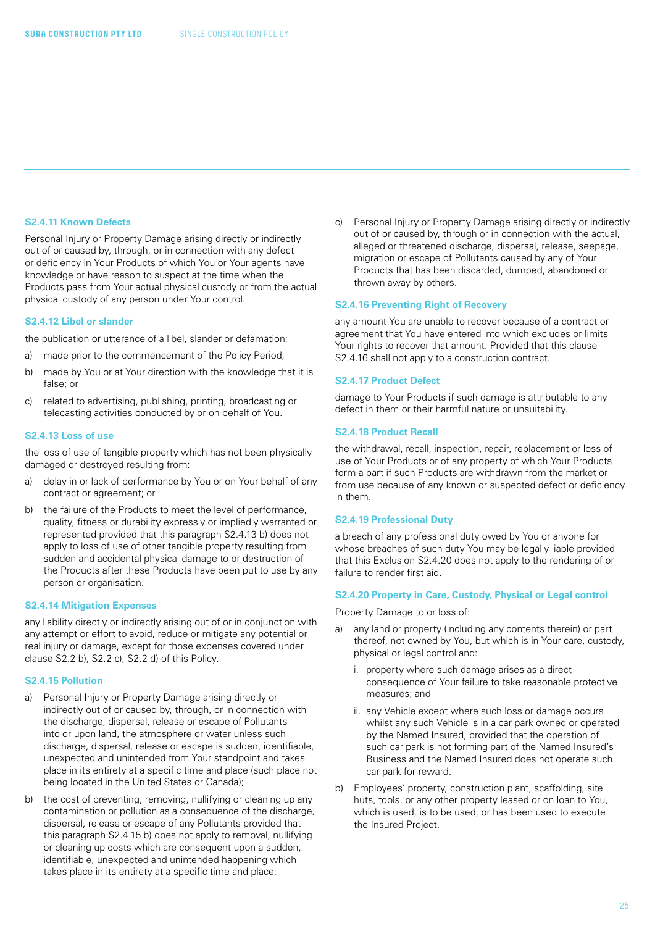#### **S2.4.11 Known Defects**

Personal Injury or Property Damage arising directly or indirectly out of or caused by, through, or in connection with any defect or deficiency in Your Products of which You or Your agents have knowledge or have reason to suspect at the time when the Products pass from Your actual physical custody or from the actual physical custody of any person under Your control.

#### **S2.4.12 Libel or slander**

the publication or utterance of a libel, slander or defamation:

- a) made prior to the commencement of the Policy Period;
- b) made by You or at Your direction with the knowledge that it is false; or
- c) related to advertising, publishing, printing, broadcasting or telecasting activities conducted by or on behalf of You.

#### **S2.4.13 Loss of use**

the loss of use of tangible property which has not been physically damaged or destroyed resulting from:

- a) delay in or lack of performance by You or on Your behalf of any contract or agreement; or
- b) the failure of the Products to meet the level of performance, quality, fitness or durability expressly or impliedly warranted or represented provided that this paragraph S2.4.13 b) does not apply to loss of use of other tangible property resulting from sudden and accidental physical damage to or destruction of the Products after these Products have been put to use by any person or organisation.

#### **S2.4.14 Mitigation Expenses**

any liability directly or indirectly arising out of or in conjunction with any attempt or effort to avoid, reduce or mitigate any potential or real injury or damage, except for those expenses covered under clause S2.2 b), S2.2 c), S2.2 d) of this Policy.

#### **S2.4.15 Pollution**

- a) Personal Injury or Property Damage arising directly or indirectly out of or caused by, through, or in connection with the discharge, dispersal, release or escape of Pollutants into or upon land, the atmosphere or water unless such discharge, dispersal, release or escape is sudden, identifiable, unexpected and unintended from Your standpoint and takes place in its entirety at a specific time and place (such place not being located in the United States or Canada);
- b) the cost of preventing, removing, nullifying or cleaning up any contamination or pollution as a consequence of the discharge, dispersal, release or escape of any Pollutants provided that this paragraph S2.4.15 b) does not apply to removal, nullifying or cleaning up costs which are consequent upon a sudden, identifiable, unexpected and unintended happening which takes place in its entirety at a specific time and place;

c) Personal Injury or Property Damage arising directly or indirectly out of or caused by, through or in connection with the actual, alleged or threatened discharge, dispersal, release, seepage, migration or escape of Pollutants caused by any of Your Products that has been discarded, dumped, abandoned or thrown away by others.

#### **S2.4.16 Preventing Right of Recovery**

any amount You are unable to recover because of a contract or agreement that You have entered into which excludes or limits Your rights to recover that amount. Provided that this clause S2.4.16 shall not apply to a construction contract.

#### **S2.4.17 Product Defect**

damage to Your Products if such damage is attributable to any defect in them or their harmful nature or unsuitability.

#### **S2.4.18 Product Recall**

the withdrawal, recall, inspection, repair, replacement or loss of use of Your Products or of any property of which Your Products form a part if such Products are withdrawn from the market or from use because of any known or suspected defect or deficiency in them.

#### **S2.4.19 Professional Duty**

a breach of any professional duty owed by You or anyone for whose breaches of such duty You may be legally liable provided that this Exclusion S2.4.20 does not apply to the rendering of or failure to render first aid.

#### **S2.4.20 Property in Care, Custody, Physical or Legal control**

Property Damage to or loss of:

- a) any land or property (including any contents therein) or part thereof, not owned by You, but which is in Your care, custody, physical or legal control and:
	- i. property where such damage arises as a direct consequence of Your failure to take reasonable protective measures; and
	- ii. any Vehicle except where such loss or damage occurs whilst any such Vehicle is in a car park owned or operated by the Named Insured, provided that the operation of such car park is not forming part of the Named Insured's Business and the Named Insured does not operate such car park for reward.
- b) Employees' property, construction plant, scaffolding, site huts, tools, or any other property leased or on loan to You, which is used, is to be used, or has been used to execute the Insured Project.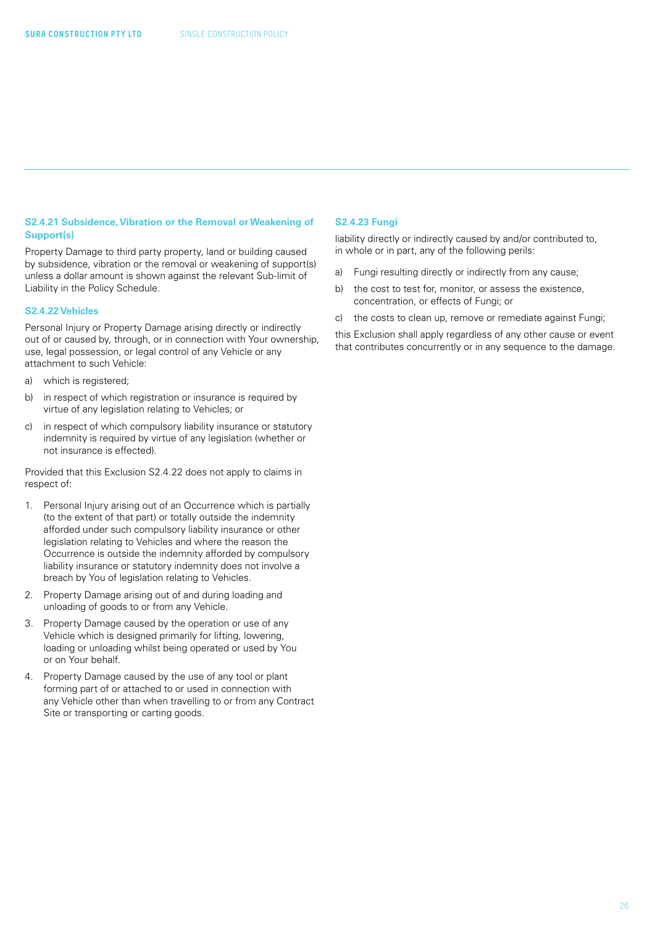#### **S2.4.21 Subsidence, Vibration or the Removal or Weakening of Support(s)**

Property Damage to third party property, land or building caused by subsidence, vibration or the removal or weakening of support(s) unless a dollar amount is shown against the relevant Sub-limit of Liability in the Policy Schedule.

#### **S2.4.22 Vehicles**

Personal Injury or Property Damage arising directly or indirectly out of or caused by, through, or in connection with Your ownership, use, legal possession, or legal control of any Vehicle or any attachment to such Vehicle:

- a) which is registered:
- b) in respect of which registration or insurance is required by virtue of any legislation relating to Vehicles; or
- c) in respect of which compulsory liability insurance or statutory indemnity is required by virtue of any legislation (whether or not insurance is effected).

Provided that this Exclusion S2.4.22 does not apply to claims in respect of:

- 1. Personal Injury arising out of an Occurrence which is partially (to the extent of that part) or totally outside the indemnity afforded under such compulsory liability insurance or other legislation relating to Vehicles and where the reason the Occurrence is outside the indemnity afforded by compulsory liability insurance or statutory indemnity does not involve a breach by You of legislation relating to Vehicles.
- 2. Property Damage arising out of and during loading and unloading of goods to or from any Vehicle.
- 3. Property Damage caused by the operation or use of any Vehicle which is designed primarily for lifting, lowering, loading or unloading whilst being operated or used by You or on Your behalf.
- 4. Property Damage caused by the use of any tool or plant forming part of or attached to or used in connection with any Vehicle other than when travelling to or from any Contract Site or transporting or carting goods.

#### **S2.4.23 Fungi**

liability directly or indirectly caused by and/or contributed to, in whole or in part, any of the following perils:

- a) Fungi resulting directly or indirectly from any cause;
- b) the cost to test for, monitor, or assess the existence, concentration, or effects of Fungi; or
- c) the costs to clean up, remove or remediate against Fungi;

this Exclusion shall apply regardless of any other cause or event that contributes concurrently or in any sequence to the damage.